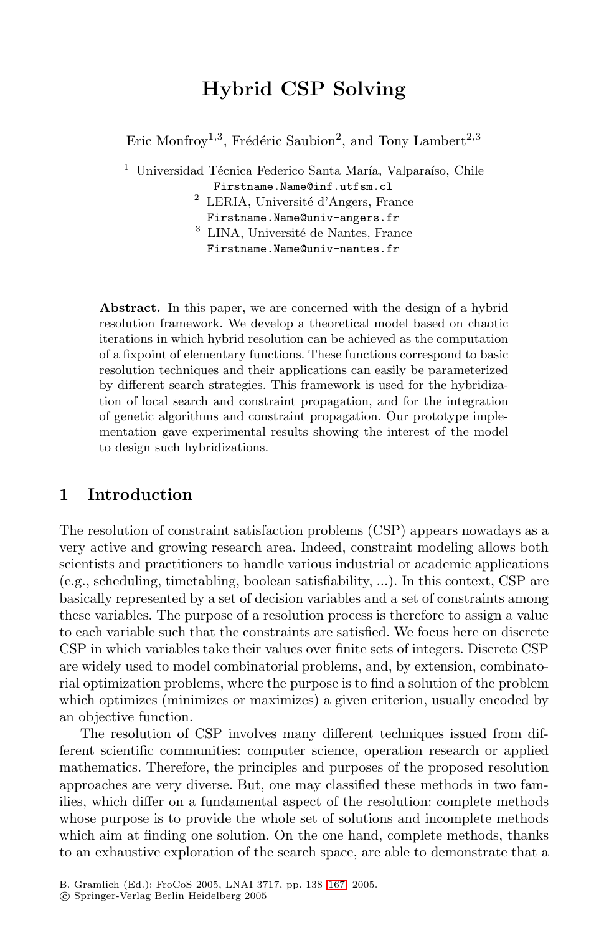# **Hybrid CSP Solving**

Eric Monfroy<sup>1,3</sup>, Frédéric Saubion<sup>2</sup>, and Tony Lambert<sup>2,3</sup>

- <sup>1</sup> Universidad Técnica Federico Santa María, Valparaíso, Chile
	- Firstname.Name@inf.utfsm.cl  $^2$  LERIA, Université d'Angers, France
	-
	- Firstname.Name@univ-angers.fr $^3$  LINA, Université de Nantes, France Firstname.Name@univ-nantes.fr

Abstract. In this paper, we are concerned with the design of a hybrid resolution framework. We develop a theoretical model based on chaotic iterations in which hybrid resolution can be achieved as the computation of a fixpoint of elementary functions. These functions correspond to basic resolution techniques and their applications can easily be parameterized by different search strategies. This framework is used for the hybridization of local search and constraint propagation, and for the integration of genetic algorithms and constraint propagation. Our prototype implementation gave experimental results showing the interest of the model to design such hybridizations.

### **1 Introduction**

The resolution of constraint satisfaction problems (CSP) appears nowadays as a very active and growing research area. Indeed, constraint modeling allows both scientists and practitioners to handle various industrial or academic applications (e.g., scheduling, timetabling, boolean satisfiability, ...). In this context, CSP are basically represented by a set of decision variables and a set of constraints among these variables. The purpose of a resolution process is therefore to assign a value to each variable such that the constraints are satisfied. We focus here on discrete CSP in which variables take their values over finite sets of integers. Discrete CSP are widely used to model combinatorial problems, and, by extension, combinatorial optimization problems, where the purpose is to find a solution of the problem which optimizes (minimizes or maximizes) a given criterion, usually encoded by an objective function.

The resolution of CSP involves many different techniques issued from different scientific communities: computer science, operation research or applied mathematics. Therefore, [the](#page-28-0) principles and purposes of the proposed resolution approaches are very diverse. But, one may classified these methods in two families, which differ on a fundamental aspect of the resolution: complete methods whose purpose is to provide the whole set of solutions and incomplete methods which aim at finding one solution. On the one hand, complete methods, thanks to an exhaustive exploration of the search space, are able to demonstrate that a

B. Gramlich (Ed.): FroCoS 2005, LNAI 3717, pp. 138–167, 2005.

c Springer-Verlag Berlin Heidelberg 2005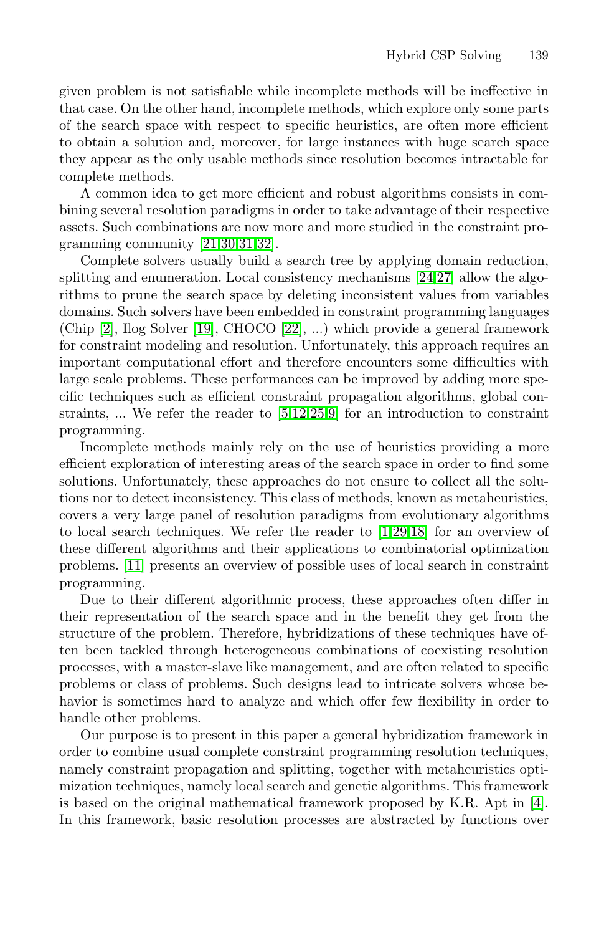given problem is not satisfiable while incomplete methods will be ineffective in that case. On the other hand, incomplete methods, which explore only some parts of t[he](#page-28-1) [sea](#page-29-0)[rch](#page-29-1) [sp](#page-29-2)ace with respect to specific heuristics, are often more efficient to obtain a solution and, moreover, for large instances with huge search space they appear as the only usable method[s si](#page-29-3)[nce](#page-29-4) resolution becomes intractable for complete methods.

A common idea to get more efficient and robust algorithms consists in combi[ning](#page-28-2) several res[olut](#page-28-3)ion paradigms in order to take advantage of their respective assets. Such combinations are now more and more studied in the constraint programming community [21,30,31,32].

Complete solvers usually build a search tree by applying domain reduction, splitting and enumeration. Local consistency mechanisms [24,27] allow the algorithms to prune [th](#page-28-4)[e s](#page-28-5)[ear](#page-29-5)[ch](#page-28-6) space by deleting inconsistent values from variables domains. Such solvers have been embedded in constraint programming languages (Chip [2], Ilog Solver [19], CHOCO [22], ...) which provide a general framework for constraint modeling and resolution. Unfortunately, this approach requires an important computational effort and therefore encounters some difficulties with large scale problems. These performances can be improved by adding more specific techniques such as efficient constraint propagation algorithms, global constraints, ... We refer the reader [to](#page-28-7)  $[5,12,25,9]$  $[5,12,25,9]$  $[5,12,25,9]$  for an introduction to constraint programming.

Incomplete methods mainly rely on the use of heuristics providing a more efficient exploration of interesting areas of the search space in order to find some solutions. Unfortunately, these approaches do not ensure to collect all the solutions nor to detect inconsistency. This class of methods, known as metaheuristics, covers a very large panel of resolution paradigms from evolutionary algorithms to local search techniques. We refer the reader to [1,29,18] for an overview of these different algorithms and their applications to combinatorial optimization problems. [11] presents an overview of possible uses of local search in constraint programming.

Due to their different algorithmic process, these approaches often differ in their representation of the search space and in the benefit they get from the structure of the problem. Therefore, hybridizations of these techniques have often been tackled through heterogeneous combinations of coexisting resolution processes, with a master-slave like management, and are often related to specific problems or class of problems. Such designs lead to intri[cat](#page-28-9)e solvers whose behavior is sometimes hard to analyze and which offer few flexibility in order to handle other problems.

Our purpose is to present in this paper a general hybridization framework in order to combine usual complete constraint programming resolution techniques, namely constraint propagation and splitting, together with metaheuristics optimization techniques, namely local search and genetic algorithms. This framework is based on the original mathematical framework proposed by K.R. Apt in [4]. In this framework, basic resolution processes are abstracted by functions over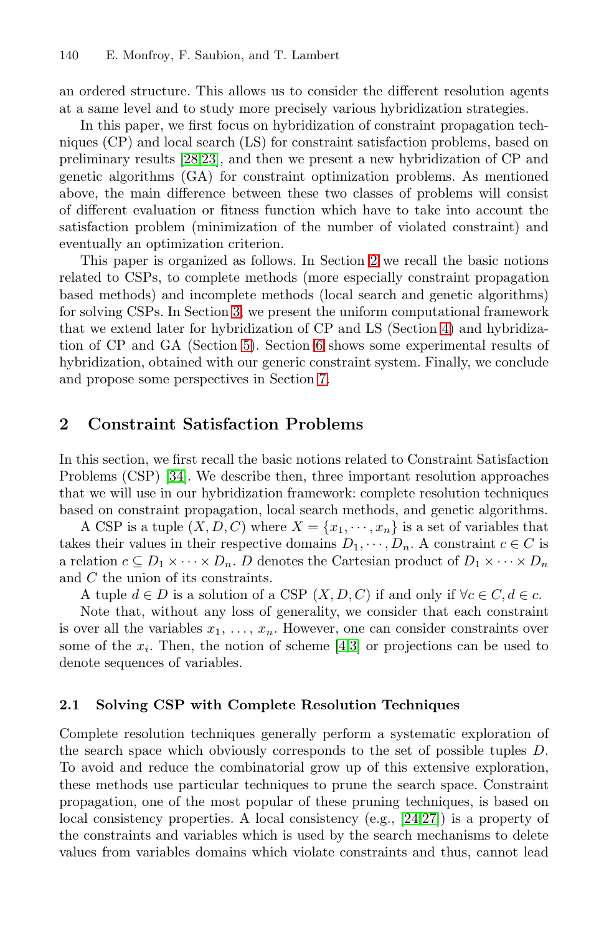an ordered structure. This allows us to consider the different resolution agents at a same level and to study more precisely various hybridization strategies.

In this paper, we first focus on hybridization of constraint propagation techniques (CP) and local search ([LS\)](#page-2-0) for constraint satisfaction problems, based on preliminary results [28,23], and then we present a new hybridization of CP and genetic algorithms (GA) for constraint optimization problems. As mentioned above, t[he](#page-5-0) main difference between these two classes of problems will consist of different evaluation or fitness function [wh](#page-7-0)ich have to take into account the satisfactio[n p](#page-15-0)roblem ([m](#page-20-0)inimization of the number of violated constraint) and eventually an optimization criterion.

<span id="page-2-0"></span>This paper is orga[niz](#page-27-0)ed as follows. In Section 2 we recall the basic notions related to CSPs, to complete methods (more especially constraint propagation based methods) and incomplete methods (local search and genetic algorithms) for solving CSPs. In Section 3, we present the uniform computational framework that we extend later for hybridization of CP and LS (Section 4) and hybridization of CP and GA (Section 5). Section 6 shows some experimental results of [hy](#page-29-7)bridization, obtained with our generic constraint system. Finally, we conclude and propose some perspectives in Section 7.

### **2 Constraint Satisfaction Problems**

In this section, we first recall the basic notions related to Constraint Satisfaction Problems (CSP) [34]. We describe then, three important resolution approaches that we will use in our hybridization framework: complete resolution techniques based on constraint propagation, local search methods, and genetic algorithms.

A [C](#page-28-10)SP is a tuple  $(X, D, C)$  $(X, D, C)$  $(X, D, C)$  where  $X = \{x_1, \dots, x_n\}$  is a set of variables that takes their values in their respective domains  $D_1, \dots, D_n$ . A constraint  $c \in C$  is a relation  $c \subseteq D_1 \times \cdots \times D_n$ . D denotes the Cartesian product of  $D_1 \times \cdots \times D_n$ and C the union of its constraints.

A tuple  $d \in D$  is a solution of a CSP  $(X, D, C)$  if and only if  $\forall c \in C, d \in c$ .

<span id="page-2-1"></span>Note that, without any loss of generality, we consider that each constraint is over all the variables  $x_1, \ldots, x_n$ . However, one can consider constraints over some of the  $x_i$ . Then, the notion of scheme [4,3] or projections can be used to denote sequences of variables.

### **2.1 Solving CSP with Comple[te](#page-29-3) [Re](#page-29-4)solution Techniques**

Complete resolution techniques generally perform a systematic exploration of the search space which obviously corresponds to the set of possible tuples D. To avoid and reduce the combinatorial grow up of this extensive exploration, these methods use particular techniques to prune the search space. Constraint propagation, one of the most popular of these pruning techniques, is based on local consistency properties. A local consistency (e.g., [24,27]) is a property of the constraints and variables which is used by the search mechanisms to delete values from variables domains which violate constraints and thus, cannot lead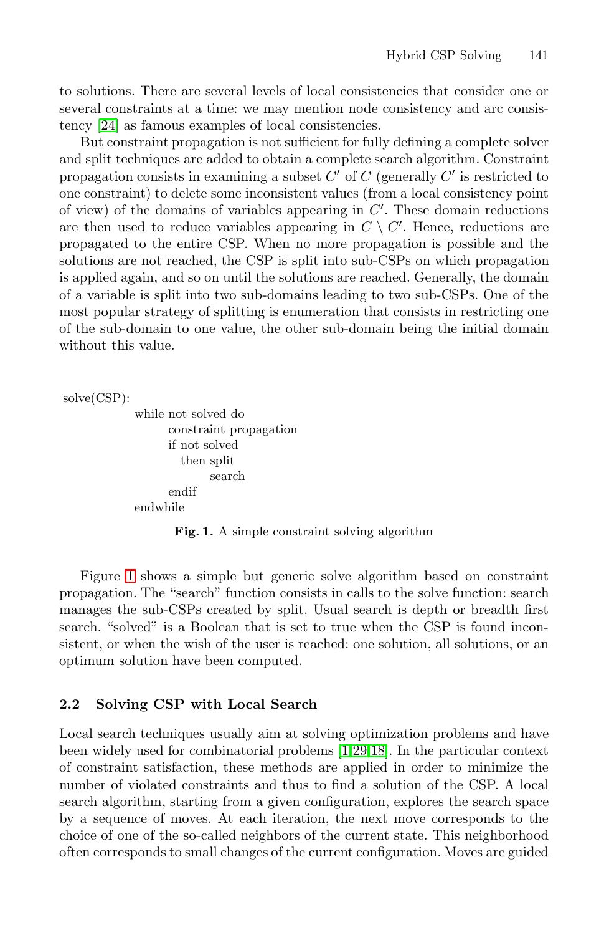to solutions. There are several levels of local consistencies that consider one or several constraints at a time: we may mention node consistency and arc consistency [24] as famous examples of local consistencies.

But constraint propagation is not sufficient for fully defining a complete solver and split techniques are added to obtain a complete search algorithm. Constraint propagation consists in examining a subset  $C'$  of  $C$  (generally  $C'$  is restricted to one constraint) to delete some inconsistent values (from a local consistency point of view) of the domains of variables appearing in  $C'$ . These domain reductions are then used to reduce variables appearing in  $C \setminus C'$ . Hence, reductions are propagated to the entire CSP. When no more propagation is possible and the solutions are not reached, the CSP is split into sub-CSPs on which propagation is applied again, and so on until the solutions are reached. Generally, the domain of a variable is split into two sub-domains leading to two sub-CSPs. One of the most popular strategy of splitting is enumeration that consists in restricting one of the sub-domain to one value, the other sub-domain being the initial domain without this value.

```
solve(CSP):
```

```
while not solved do
      constraint propagation
      if not solved
        then split
             search
      endif
endwhile
```
**Fig. 1.** A simple constraint solving algorithm

Figure 1 shows a simple but generic solve algorithm based on constraint propagation. The "search" function consists in calls to the solve function: search manages the sub-CSPs created by split. Usual search is depth or breadth first search. "solved" is a Bool[ea](#page-28-7)[n t](#page-29-6)[hat](#page-28-8) is set to true when the CSP is found inconsistent, or when the wish of the user is reached: one solution, all solutions, or an optimum solution have been computed.

### **2.2 Solving CSP with Local Search**

Local search techniques usually aim at solving optimization problems and have been widely used for combinatorial problems [1,29,18]. In the particular context of constraint satisfaction, these methods are applied in order to minimize the number of violated constraints and thus to find a solution of the CSP. A local search algorithm, starting from a given configuration, explores the search space by a sequence of moves. At each iteration, the next move corresponds to the choice of one of the so-called neighbors of the current state. This neighborhood often corresponds to small changes of the current configuration. Moves are guided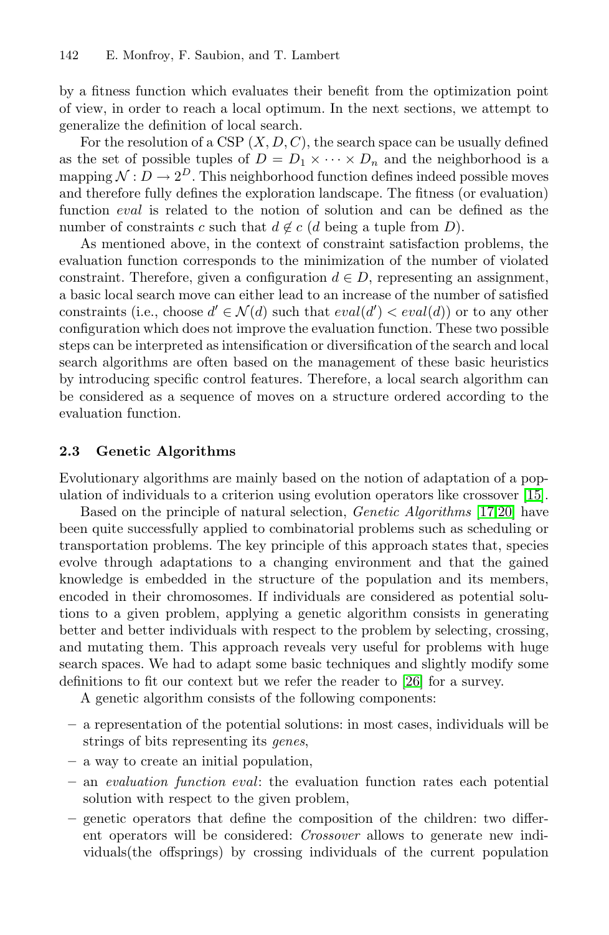by a fitness function which evaluates their benefit from the optimization point of view, in order to reach a local optimum. In the next sections, we attempt to generalize the definition of local search.

For the resolution of a CSP  $(X, D, C)$ , the search space can be usually defined as the set of possible tuples of  $D = D_1 \times \cdots \times D_n$  and the neighborhood is a mapping  $\mathcal{N}: D \to 2^D$ . This neighborhood function defines indeed possible moves and therefore fully defines the exploration landscape. The fitness (or evaluation) function eval is related to the notion of solution and can be defined as the number of constraints c such that  $d \notin c$  (d being a tuple from D).

As mentioned above, in the context of constraint satisfaction problems, the evaluation function corresponds to the minimization of the number of violated constraint. Therefore, given a configuration  $d \in D$ , representing an assignment, a basic local search move can either lead to an increase of the number of satisfied constraints (i.e., choose  $d' \in \mathcal{N}(d)$  such that  $eval(d') < eval(d)$  or to any other configuration which does not improve the evaluation function. These two possible steps can be interpreted as intensification or diversification of the search and local search algorithms are often based on the management of these basic heuristics by introducing specific control features. Therefore, a loc[al](#page-28-11) [s](#page-28-11)earch algorithm can be considered as a sequence of moves on a stru[ctu](#page-28-12)[re](#page-28-13) [o](#page-28-13)rdered according to the evaluation function.

### **2.3 Genetic Algorithms**

Evolutionary algorithms are mainly based on the notion of adaptation of a population of individuals to a criterion using evolution operators like crossover [15].

Based on the principle of natural selection, *Genetic Algorithms* [17,20] have been quite successfully applied to combinatorial problems such as scheduling or transportation problems. The key principle of this approach states that, species evolve through adaptations to a ch[ang](#page-29-8)ing environment and that the gained knowledge is embedded in the structure of the population and its members, encoded in their chromosomes. If individuals are considered as potential solutions to a given problem, applying a genetic algorithm consists in generating better and better individuals with respect to the problem by selecting, crossing, and mutating them. This approach reveals very useful for problems with huge search spaces. We had to adapt some basic techniques and slightly modify some definitions to fit our context but we refer the reader to [26] for a survey.

A genetic algorithm consists of the following components:

- **–** a representation of the potential solutions: in most cases, individuals will be strings of bits representing its *genes*,
- **–** a way to create an initial population,
- **–** an *evaluation function* eval: the evaluation function rates each potential solution with respect to the given problem,
- **–** genetic operators that define the composition of the children: two different operators will be considered: *Crossover* allows to generate new individuals(the offsprings) by crossing individuals of the current population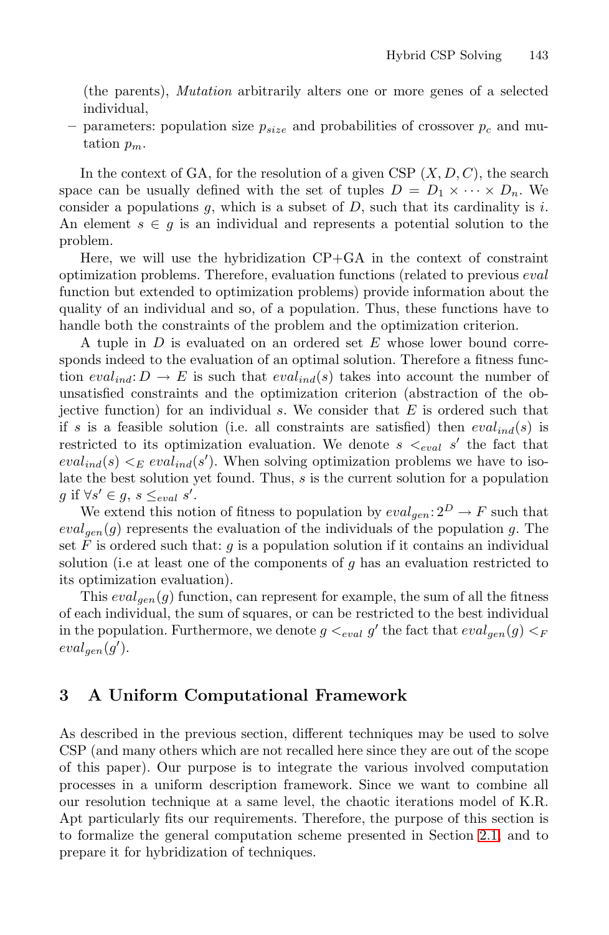(the parents), *Mutation* arbitrarily alters one or more genes of a selected individual,

– parameters: population size  $p_{size}$  and probabilities of crossover  $p_c$  and mutation  $p_m$ .

In the context of GA, for the resolution of a given CSP  $(X, D, C)$ , the search space can be usually defined with the set of tuples  $D = D_1 \times \cdots \times D_n$ . We consider a populations  $g$ , which is a subset of  $D$ , such that its cardinality is  $i$ . An element  $s \in g$  is an individual and represents a potential solution to the problem.

Here, we will use the hybridization CP+GA in the context of constraint optimization problems. Therefore, evaluation functions (related to previous eval function but extended to optimization problems) provide information about the quality of an individual and so, of a population. Thus, these functions have to handle both the constraints of the problem and the optimization criterion.

A tuple in D is evaluated on an ordered set E whose lower bound corresponds indeed to the evaluation of an optimal solution. Therefore a fitness function  $eval_{ind}: D \to E$  is such that  $eval_{ind}(s)$  takes into account the number of unsatisfied constraints and the optimization criterion (abstraction of the objective function) for an individual  $s$ . We consider that  $E$  is ordered such that if s is a feasible solution (i.e. all constraints are satisfied) then  $eval_{ind}(s)$  is restricted to its optimization evaluation. We denote  $s \lt_{eval} s'$  the fact that  $eval_{ind}(s) <_{E} eval_{ind}(s')$ . When solving optimization problems we have to isolate the best solution yet found. Thus, s is the current solution for a population g if  $\forall s' \in g, s \leq_{eval} s'.$ 

We extend this notion of fitness to population by  $eval_{gen}: 2^D \rightarrow F$  such that  $eval_{gen}(g)$  represents the evaluation of the individuals of the population g. The set F is ordered such that:  $g$  is a population solution if it contains an individual solution (i.e at least one of the components of  $g$  has an evaluation restricted to its optimization evaluation).

<span id="page-5-0"></span>This  $eval_{gen}(g)$  function, can represent for example, the sum of all the fitness of each individual, the sum of squares, or can be restricted to the best individual in the population. Furthermore, we denote  $g \lt_{eval} g'$  the fact that  $eval_{gen}(g) \lt_F$  $eval_{gen}(g').$ 

## **3 A Uniform Computational Framework**

As described in the previous section, different techniques may be used to solve CSP (and many others which are not recalled here since they are out of the scope of this paper). Our purpose is to integrate the various involved computation processes in a uniform description framework. Since we want to combine all our resolution technique at a same level, the chaotic iterations model of K.R. Apt particularly fits our requirements. Therefore, the purpose of this section is to formalize the general computation scheme presented in Section 2.1, and to prepare it for hybridization of techniques.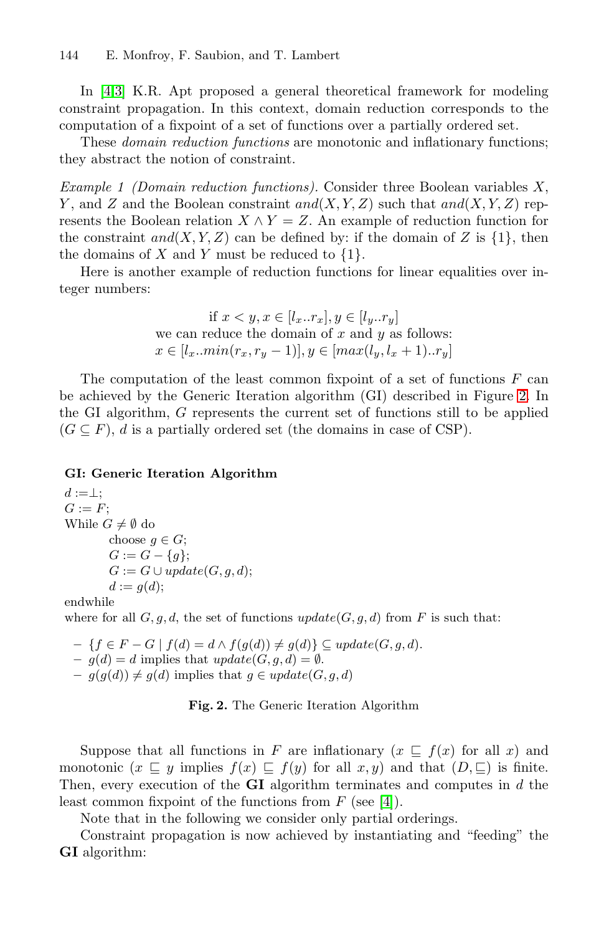In [4,3] K.R. Apt proposed a general theoretical framework for modeling constraint propagation. In this context, domain reduction corresponds to the computation of a fixpoint of a set of functions over a partially ordered set.

These *domain reduction functions* are monotonic and inflationary functions; they abstract the notion of constraint.

*Example 1 (Domain reduction functions).* Consider three Boolean variables X, Y, and Z and the Boolean constraint  $and(X, Y, Z)$  such that  $and(X, Y, Z)$  represents the Boolean relation  $X \wedge Y = Z$ . An example of reduction function for the constraint  $and(X, Y, Z)$  can be defined by: if the domain of Z is  $\{1\}$ , then the domains of  $X$  and  $Y$  must be reduced to  $\{1\}.$ 

Here is another example of reduction functions for [lin](#page-6-0)ear equalities over integer numbers:

if 
$$
x < y, x \in [l_x..r_x], y \in [l_y..r_y]
$$
  
we can reduce the domain of x and y as follows:  
 $x \in [l_x..min(r_x, r_y - 1)], y \in [max(l_y, l_x + 1)..r_y]$ 

The computation of the least common fixpoint of a set of functions  $F$  can be achieved by the Generic Iteration algorithm (GI) described in Figure 2. In the GI algorithm, G represents the current set of functions still to be applied  $(G \subseteq F)$ , d is a partially ordered set (the domains in case of CSP).

#### **GI: Generic Iteration Algorithm**

 $d := \perp$ :  $G := F$ ; While  $G \neq \emptyset$  do choose  $q \in G$ ;  $G := G - \{g\};$  $G := G \cup update(G, q, d);$  $d := g(d);$ endwhile

<span id="page-6-0"></span>where for all  $G, q, d$ , the set of functions  $update(G, q, d)$  from F is such that:

 $- \{f \in F - G \mid f(d) = d \land f(g(d)) \neq g(d)\}\subseteq update(G, g, d).$ <br>  $- g(d) - d$  implies that *update*(G, g, d) −  $\emptyset$  $– g(d) = d$  implies that  $update(G, g, d) = \emptyset$ .  $- g(g(d)) \neq g(d)$  implies that  $g \in update(G, g, d)$  $g \in update(G, g, d)$  $g \in update(G, g, d)$ 

**Fig. 2.** The Generic Iteration Algorithm

Suppose that all functions in F are inflationary  $(x \subseteq f(x)$  for all x) and monotonic  $(x \subseteq y$  implies  $f(x) \subseteq f(y)$  for all  $x, y$ ) and that  $(D, \subseteq)$  is finite. Then, every execution of the **GI** algorithm terminates and computes in d the least common fixpoint of the functions from  $F$  (see [4]).

Note that in the following we consider only partial orderings.

Constraint propagation is now achieved by instantiating and "feeding" the **GI** algorithm: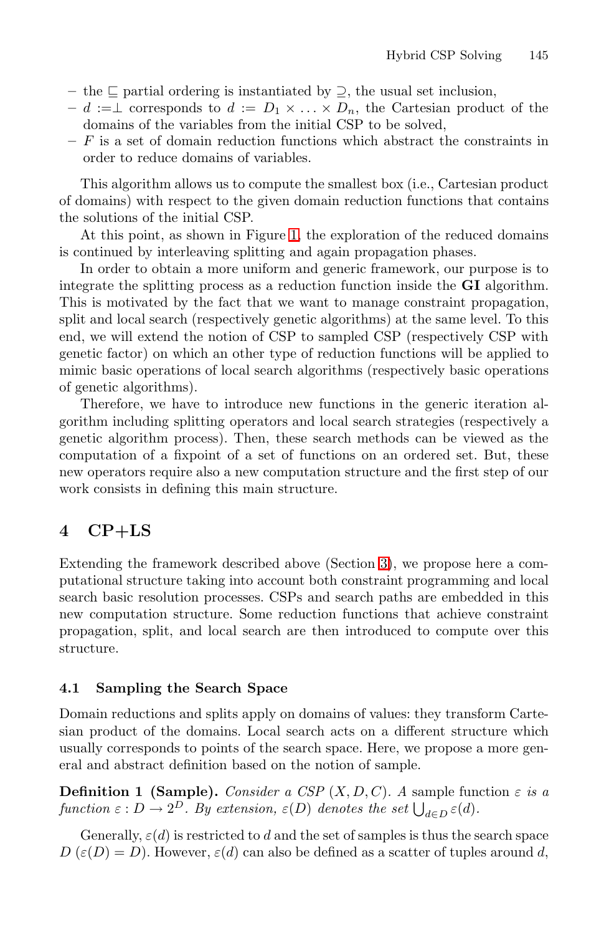- **–** the partial ordering is instantiated by ⊇, the usual set inclusion,
- $d := \bot$  corres[pon](#page-3-0)ds to  $d := D_1 \times \ldots \times D_n$ , the Cartesian product of the domains of the variables from the initial CSP to be solved,
- **–** F is a set of domain reduction functions which abstract the constraints in order to reduce domains of variables.

This algorithm allows us to compute the smallest box (i.e., Cartesian product of domains) with respect to the given domain reduction functions that contains the solutions of the initial CSP.

At this point, as shown in Figure 1, the exploration of the reduced domains is continued by interleaving splitting and again propagation phases.

In order to obtain a more uniform and generic framework, our purpose is to integrate the splitting process as a reduction function inside the **GI** algorithm. This is motivated by the fact that we want to manage constraint propagation, split and local search (respectively genetic algorithms) at the same level. To this end, we will extend the notion of CSP to sampled CSP (respectively CSP with genetic factor) on which an other type of reduction functions will be applied to mimic basic operations of local search algorithms (respectively basic operations of genetic algorithms).

<span id="page-7-0"></span>Therefore, we have to introduce new functions in the generic iteration algorithm including splitting operators and local search strategies (respectively a genetic algorithm process). The[n,](#page-5-0) these search methods can be viewed as the computation of a fixpoint of a set of functions on an ordered set. But, these new operators require also a new computation structure and the first step of our work consists in defining this main structure.

### **4 CP+LS**

Extending the framework described above (Section 3), we propose here a computational structure taking into account both constraint programming and local search basic resolution processes. CSPs and search paths are embedded in this new computation structure. Some reduction functions that achieve constraint propagation, split, and local search are then introduced to compute over this structure.

#### **4.1 Sampling the Search Space**

Domain reductions and splits apply on domains of values: they transform Cartesian product of the domains. Local search acts on a different structure which usually corresponds to points of the search space. Here, we propose a more general and abstract definition based on the notion of sample.

**Definition 1 (Sample).** *Consider a CSP*  $(X, D, C)$ *. A* sample function  $\varepsilon$  *is a*  $function \varepsilon : D \to 2^D$ . By extension,  $\varepsilon(D)$  denotes the set  $\bigcup_{d \in D} \varepsilon(d)$ .

Generally,  $\varepsilon(d)$  is restricted to d and the set of samples is thus the search space  $D(\varepsilon(D) = D)$ . However,  $\varepsilon(d)$  can also be defined as a scatter of tuples around d,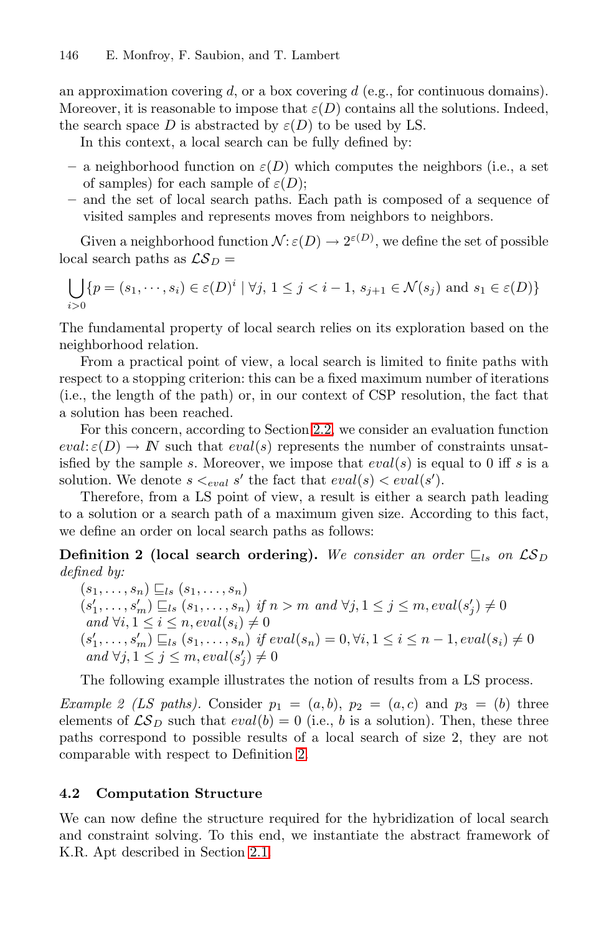an approximation covering  $d$ , or a box covering  $d$  (e.g., for continuous domains). Moreover, it is reasonable to impose that  $\varepsilon(D)$  contains all the solutions. Indeed, the search space D is abstracted by  $\varepsilon(D)$  to be used by LS.

In this context, a local search can be fully defined by:

- $-$  a neighborhood function on  $\varepsilon(D)$  which computes the neighbors (i.e., a set of samples) for each sample of  $\varepsilon(D)$ ;
- **–** and the set of local search paths. Each path is composed of a sequence of visited samples and represents moves from neighbors to neighbors.

Given a neighborhood function  $\mathcal{N} : \varepsilon(D) \to 2^{\varepsilon(D)}$ , we define the set of possible local search paths as  $\mathcal{LS}_D =$ 

$$
\bigcup_{i>0} \{p = (s_1, \dots, s_i) \in \varepsilon(D)^i \mid \forall j, 1 \le j < i-1, s_{j+1} \in \mathcal{N}(s_j) \text{ and } s_1 \in \varepsilon(D)\}
$$

The fundamental property of local search relies on its exploration based on the neighborhood relation.

From a practical point of view, a local search is limited to finite paths with respect to a stopping criterion: this can be a fixed maximum number of iterations (i.e., the length of the path) or, in our context of CSP resolution, the fact that a solution has been reached.

<span id="page-8-0"></span>For this concern, according to Section 2.2, we consider an evaluation function  $eval: \varepsilon(D) \to \mathbb{N}$  such that  $eval(s)$  represents the number of constraints unsatisfied by the sample s. Moreover, we impose that  $eval(s)$  is equal to 0 iff s is a solution. We denote  $s \leq_{eval} s'$  the fact that  $eval(s) \leq eval(s')$ .

Therefore, from a LS point of view, a result is either a search path leading to a solution or a search path of a maximum given size. According to this fact, we define an order on local search paths as follows:

**Definition 2 (local search ordering).** We consider an order  $\sqsubseteq$  *s* on  $\mathcal{LS}_D$ *defined by:*

 $(s_1,\ldots,s_n) \sqsubseteq_{ls} (s_1,\ldots,s_n)$  $(s'_1, \ldots, s'_m) \sqsubseteq_{ls} (s_1, \ldots, s_n)$  *if*  $n > m$  *and*  $\forall j, 1 \leq j \leq m, eval(s'_j) \neq 0$ *and*  $\forall i, 1 \leq i \leq n$ ,  $eval(s_i) \neq 0$  $(s'_1, ..., s'_m) \sqsubseteq_{ls} (s_1, ..., s_n)$  $(s'_1, ..., s'_m) \sqsubseteq_{ls} (s_1, ..., s_n)$  *if*  $eval(s_n) = 0, \forall i, 1 \leq i \leq n-1, eval(s_i) \neq 0$ *and* ∀j,  $1 \le j \le m$ ,  $eval(s'_j) \neq 0$ 

The following example illustrates the notion of results from a LS process.

*Example 2 (LS paths).* Consider  $p_1 = (a, b)$ ,  $p_2 = (a, c)$  and  $p_3 = (b)$  three elements of  $\mathcal{LS}_D$  such that  $eval(b) = 0$  (i.e., b is a solution). Then, these three paths corre[spon](#page-2-1)d to possible results of a local search of size 2, they are not comparable with respect to Definition 2.

### **4.2 Computation Structure**

We can now define the structure required for the hybridization of local search and constraint solving. To this end, we instantiate the abstract framework of K.R. Apt described in Section 2.1.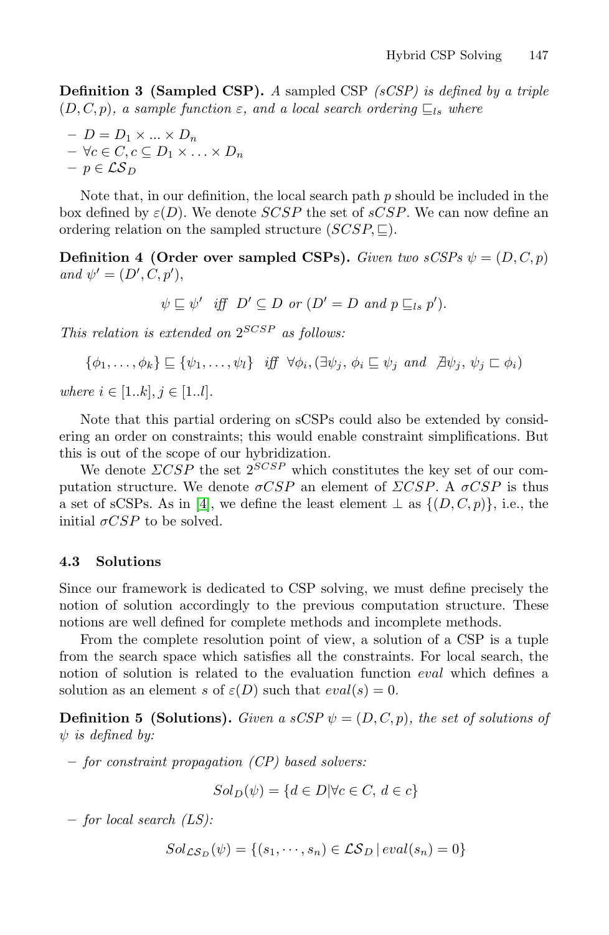<span id="page-9-0"></span>**Definition 3 (Sampled CSP).** *A* sampled CSP *(sCSP) is defined by a triple*  $(D, C, p)$ *, a sample function*  $\varepsilon$ *, and a local search ordering*  $\subseteq$ <sub>*ls</sub> where*</sub>

$$
- D = D_1 \times ... \times D_n
$$
  
-  $\forall c \in C, c \subseteq D_1 \times ... \times D_n$   
-  $p \in \mathcal{LS}_D$ 

Note that, in our definition, the local search path  $p$  should be included in the box defined by  $\varepsilon(D)$ . We denote  $SCSP$  the set of  $sCSP$ . We can now define an ordering relation on the sampled structure  $(SCSP, \Box)$ .

**Definition 4 (Order over sampled CSPs).** *Given two sCSPs*  $\psi = (D, C, p)$  $and \psi' = (D', C, p'),$ 

$$
\psi \sqsubseteq \psi'
$$
 iff  $D' \subseteq D$  or  $(D' = D$  and  $p \sqsubseteq_{ls} p').$ 

*This relation is extended on* 2SCSP *as follows:*

$$
\{\phi_1,\ldots,\phi_k\} \sqsubseteq \{\psi_1,\ldots,\psi_l\} \text{ iff } \forall \phi_i,(\exists \psi_j,\phi_i \sqsubseteq \psi_j \text{ and } \exists \psi_j,\psi_j \sqsubset \phi_i)
$$

*wh[ere](#page-28-9)*  $i \in [1..k], j \in [1..l].$ 

Note that this partial ordering on sCSPs could also be extended by considering an order on constraints; this would enable constraint simplifications. But this is out of the scope of our hybridization.

We denote  $\triangle CSP$  the set  $2^{SCSP}$  which constitutes the key set of our computation structure. We denote  $\sigma CSP$  an element of  $\Sigma CSP$ . A  $\sigma CSP$  is thus a set of sCSPs. As in [4], we define the least element  $\perp$  as  $\{(D, C, p)\}\)$ , i.e., the initial  $\sigma CSP$  to be solved.

#### **4.3 Solutions**

<span id="page-9-1"></span>Since our framework is dedicated to CSP solving, we must define precisely the notion of solution accordingly to the previous computation structure. These notions are well defined for complete methods and incomplete methods.

From the complete resolution point of view, a solution of a CSP is a tuple from the search space which satisfies all the constraints. For local search, the notion of solution is related to the evaluation function eval which defines a solution as an element s of  $\varepsilon(D)$  such that  $eval(s) = 0$ .

**Definition 5 (Solutions).** *Given a sCSP*  $\psi = (D, C, p)$ *, the set of solutions of* ψ *is defined by:*

**–** *for constraint propagation (CP) based solvers:*

$$
Sol_D(\psi) = \{ d \in D | \forall c \in C, d \in c \}
$$

**–** *for local search (LS):*

$$
Sol_{\mathcal{LS}_D}(\psi) = \{ (s_1, \cdots, s_n) \in \mathcal{LS}_D \mid eval(s_n) = 0 \}
$$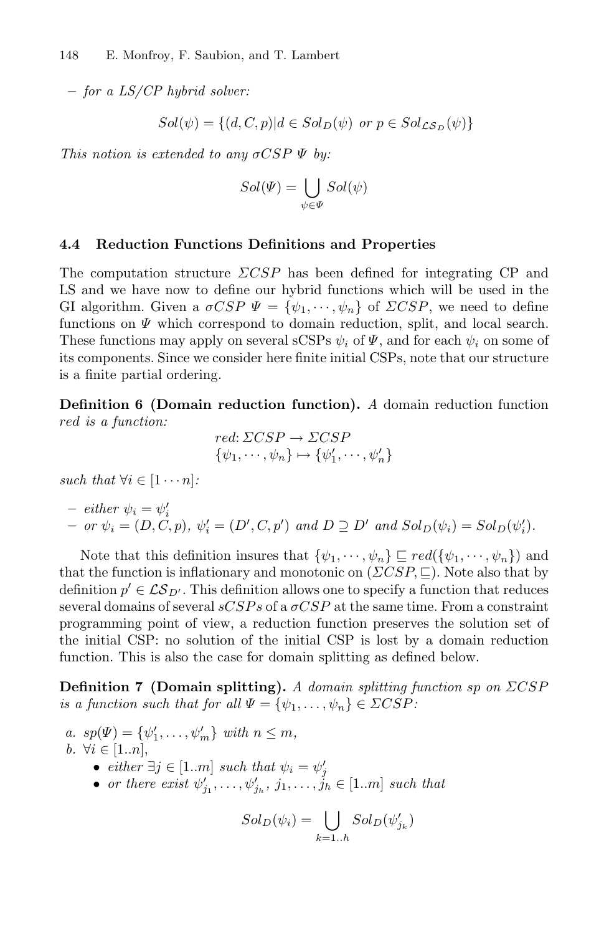**–** *for a LS/CP hybrid solver:*

$$
Sol(\psi) = \{(d, C, p)| d \in Sol_D(\psi) \text{ or } p \in Sol_{\mathcal{LS}_D}(\psi)\}\
$$

*This notion is extended to any* σCSP Ψ *by:*

$$
Sol(\Psi) = \bigcup_{\psi \in \Psi} Sol(\psi)
$$

#### **4.4 Reduction Functions Definitions and Properties**

The computation structure  $\triangle CSP$  has been defined for integrating CP and LS and we have now to define our hybrid functions which will be used in the GI algorithm. Given a  $\sigma CSP \Psi = {\psi_1, \cdots, \psi_n}$  of  $\Sigma CSP$ , we need to define functions on  $\Psi$  which correspond to domain reduction, split, and local search. These functions may apply on several sCSPs  $\psi_i$  of  $\Psi$ , and for each  $\psi_i$  on some of its components. Since we consider here finite initial CSPs, note that our structure is a finite partial ordering.

<span id="page-10-0"></span>**Definition 6 (Domain reduction function).** *A* domain reduction function red *is a function:*

$$
red: \Sigma CSP \to \Sigma CSP \{\psi_1, \cdots, \psi_n\} \mapsto {\psi'_1, \cdots, \psi'_n}
$$

*such that*  $\forall i \in [1 \cdots n]$ :

- either 
$$
\psi_i = \psi'_i
$$
  
- or  $\psi_i = (D, C, p)$ ,  $\psi'_i = (D', C, p')$  and  $D \supseteq D'$  and  $Sol_D(\psi_i) = Sol_D(\psi'_i)$ .

Note that this definition insures that  $\{\psi_1, \dots, \psi_n\} \sqsubseteq red(\{\psi_1, \dots, \psi_n\})$  and that the function is inflationary and monotonic on  $(\Sigma CSP, \sqsubseteq)$ . Note also that by definition  $p' \in \mathcal{LS}_{D'}$ . This definition allows one to specify a function that reduces several domains of several  $sCSPs$  of a  $\sigma CSP$  at the same time. From a constraint programming point of view, a reduction function preserves the solution set of the initial CSP: no solution of the initial CSP is lost by a domain reduction function. This is also the case for domain splitting as defined below.

<span id="page-10-1"></span>**Definition 7 (Domain splitting).** *A domain splitting function* sp *on* ΣCSP *is a function such that for all*  $\Psi = {\psi_1, \ldots, \psi_n} \in \Sigma CSP$ :

*a.*  $sp(\Psi) = {\psi'_1, \ldots, \psi'_m} \text{ with } n \leq m,$ *b.*  $\forall i \in [1..n],$ •  $either \; \exists j \in [1..m] \; such \; that \; \psi_i = \psi'_j$ • *or there exist*  $\psi'_{j_1}, \ldots, \psi'_{j_h}, j_1, \ldots, j_h \in [1..m]$  *such that* 

$$
Sol_D(\psi_i) = \bigcup_{k=1..h} Sol_D(\psi'_{j_k})
$$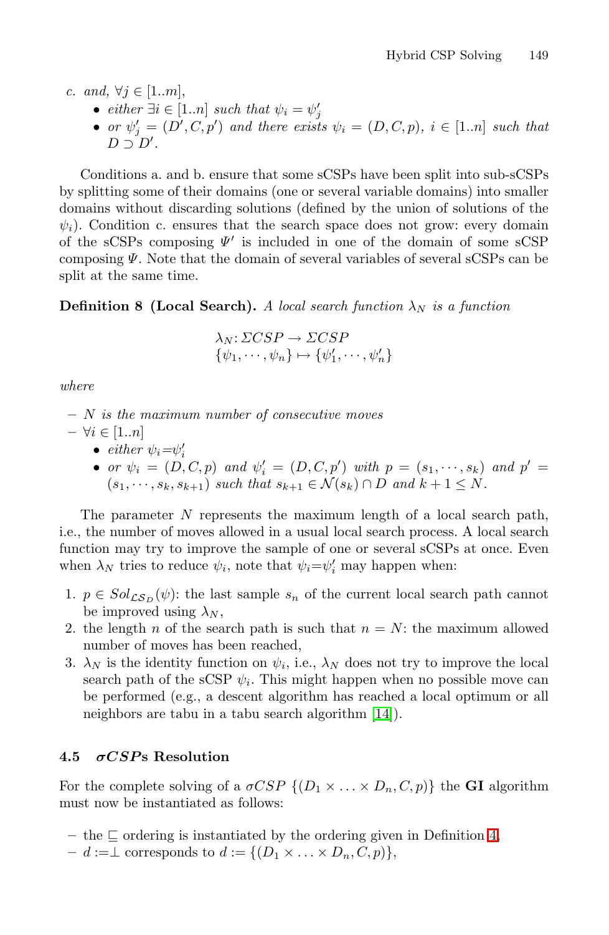*c.* and,  $\forall j \in [1..m],$ 

- 
- *either*  $\exists i \in [1..n]$  *such that*  $\psi_i = \psi'_j$ <br>
 *or*  $\psi'_j = (D', C, p')$  *and there exists*  $\psi_i = (D, C, p)$ *,*  $i \in [1..n]$  *such that*  $D \supset D'.$

<span id="page-11-0"></span>Conditions a. and b. ensure that some sCSPs have been split into sub-sCSPs by splitting some of their domains (one or several variable domains) into smaller domains without discarding solutions (defined by the union of solutions of the  $\psi_i$ ). Condition c. ensures that the search space does not grow: every domain of the sCSPs composing  $\Psi'$  is included in one of the domain of some sCSP composing  $\Psi$ . Note that the domain of several variables of several sCSPs can be split at the same time.

### **Definition 8 (Local Search).** *A local search function*  $\lambda_N$  *is a function*

$$
\lambda_N: \Sigma CSP \to \Sigma CSP \n\{\psi_1, \cdots, \psi_n\} \mapsto \{\psi'_1, \cdots, \psi'_n\}
$$

*where*

- **–** N *is the maximum number of consecutive moves* **–** ∀i ∈ [1..n]
	- $\epsilon$ *ither*  $\psi_i = \psi'_i$ 
		- *or*  $\psi_i = (D, C, p)$  *and*  $\psi'_i = (D, C, p')$  *with*  $p = (s_1, \dots, s_k)$  *and*  $p' =$  $(s_1, \dots, s_k, s_{k+1})$  *such that*  $s_{k+1} \in \mathcal{N}(s_k) \cap D$  *and*  $k+1 \leq N$ *.*

The parameter N represents the maximum length of a local search path, i.e., the number of moves allowed in a usual local search process. A local search function may try to improve the sample of one or several sCSPs at once. Even when  $\lambda_N$  tries to reduce  $\psi_i$ , note that  $\psi_i = \psi'_i$  may happen when:

- 1.  $p \in Sol_{\mathcal{LS}_D}(\psi)$ : the last sa[mple](#page-28-14)  $s_n$  of the current local search path cannot be improved using  $\lambda_N$ ,
- <span id="page-11-1"></span>2. the length n of the search path is such that  $n = N$ : the maximum allowed number of moves has been reached,
- 3.  $\lambda_N$  is the identity function on  $\psi_i$ , i.e.,  $\lambda_N$  does not try to improve the local search path of the sCSP  $\psi_i$ . This might happen when no possible move can be performed (e.g., a descent algorithm has reached a local optimum or all neighbors are tabu in a tabu search algorithm [\[1](#page-9-0)4]).

### **4.5** *σCSP* **s Resolution**

For the complete solving of a  $\sigma CSP \{(D_1 \times \ldots \times D_n, C, p)\}\)$  the **GI** algorithm must now be instantiated as follows:

- $-$  the  $\sqsubseteq$  ordering is instantiated by the ordering given in Definition 4,
- $d := \perp$  corresponds to  $d := \{(D_1 \times \ldots \times D_n, C, p)\},\$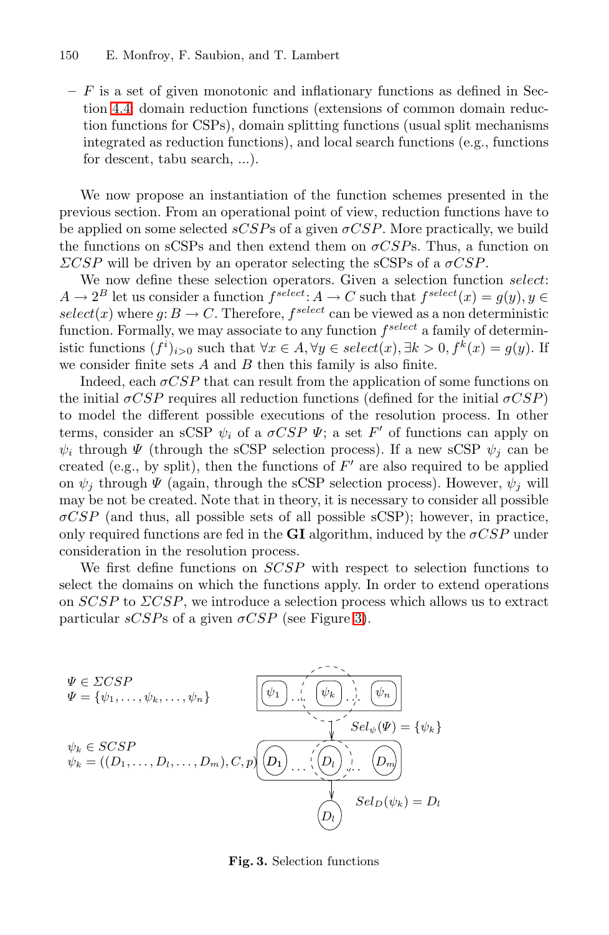**–** F is a set of given monotonic and inflationary functions as defined in Section 4.4: domain reduction functions (extensions of common domain reduction functions for CSPs), domain splitting functions (usual split mechanisms integrated as reduction functions), and local search functions (e.g., functions for descent, tabu search, ...).

We now propose an instantiation of the function schemes presented in the previous section. From an operational point of view, reduction functions have to be applied on some selected  $sCSPs$  of a given  $\sigma CSP$ . More practically, we build the functions on sCSPs and then extend them on  $\sigma CSPs$ . Thus, a function on  $\angle \angle CSP$  will be driven by an operator selecting the sCSPs of a  $\sigma CSP$ .

We now define these selection operators. Given a selection function select:  $A \to 2^B$  let us consider a function  $f^{\text{select}}: A \to C$  such that  $f^{\text{select}}(x) = g(y), y \in$  $select(x)$  where  $g: B \to C$ . Therefore,  $f<sup>select</sup>$  can be viewed as a non deterministic function. Formally, we may associate to any function  $f^{select}$  a family of deterministic functions  $(f<sup>i</sup>)<sub>i>0</sub>$  such that  $\forall x \in A, \forall y \in select(x), \exists k > 0, f<sup>k</sup>(x) = g(y)$ . If we consider finite sets  $A$  and  $B$  then this family is also finite.

Indeed, each  $\sigma CSP$  that can result from the application of some functions on the initial  $\sigma CSP$  requires all reduction functions (defined for the initial  $\sigma CSP$ ) to model the different possible executions of the resolution process. In other terms, consider an sCSP  $\psi_i$  of a  $\sigma CSP \Psi$ ; a set F' of functions can apply on  $\psi_i$  through  $\Psi$  (through the sCSP selection process). If a new sCSP  $\psi_i$  can be created (e.g., by split), then the functions of  $F'$  are also required to be applied on  $\psi_i$  through  $\Psi$  (again, through the sCSP selection process). However,  $\psi_i$  will may be not be created. Note [th](#page-12-0)at in theory, it is necessary to consider all possible  $\sigma CSP$  (and thus, all possible sets of all possible sCSP); however, in practice, only required functions are fed in the **GI** algorithm, induced by the  $\sigma CSP$  under consideration in the resolution process.

We first define functions on SCSP with respect to selection functions to select the domains on which the functions apply. In order to extend operations on  $SCSP$  to  $\Sigma CSP$ , we introduce a selection process which allows us to extract particular  $sCSPs$  of a given  $\sigma CSP$  (see Figure 3).

<span id="page-12-0"></span>

**Fig. 3.** Selection functions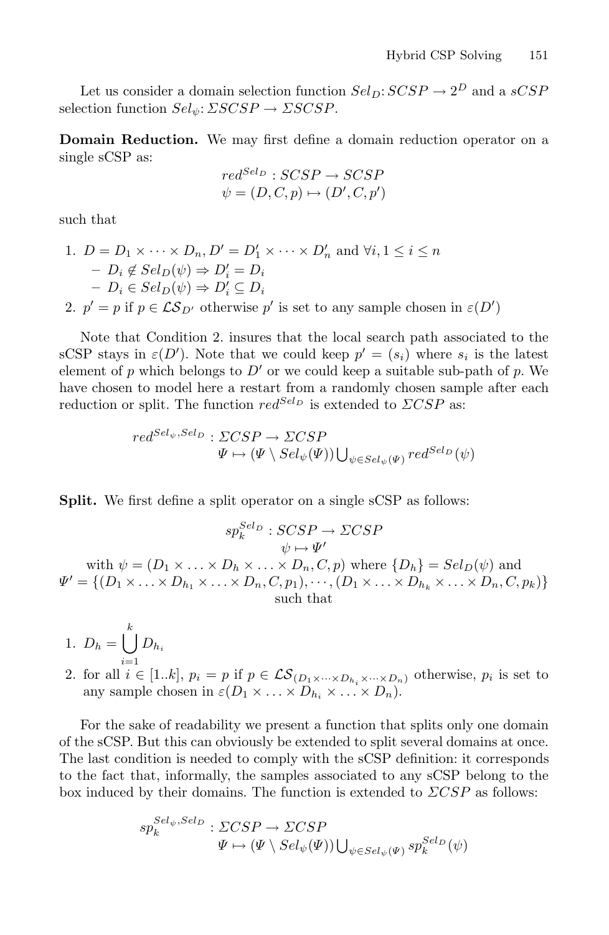Let us consider a domain selection function  $Sel_D: SCSP \rightarrow 2^D$  and a  $sCSP$ selection function  $Sel_{\psi}: \Sigma SCSP \rightarrow \Sigma SCSP$ .

**Domain Reduction.** We may first define a domain reduction operator on a single sCSP as:

$$
red^{Sel_D} : SCSP \rightarrow SCSP \n\psi = (D, C, p) \mapsto (D', C, p')
$$

such that

1. 
$$
D = D_1 \times \cdots \times D_n
$$
,  $D' = D'_1 \times \cdots \times D'_n$  and  $\forall i, 1 \leq i \leq n$   
\n $\qquad - D_i \notin Sel_D(\psi) \Rightarrow D'_i = D_i$   
\n $\qquad - D_i \in Sel_D(\psi) \Rightarrow D'_i \subseteq D_i$ 

2.  $p' = p$  if  $p \in \mathcal{LS}_{D'}$  otherwise p' is set to any sample chosen in  $\varepsilon(D')$ 

Note that Condition 2. insures that the local search path associated to the sCSP stays in  $\varepsilon(D')$ . Note that we could keep  $p' = (s_i)$  where  $s_i$  is the latest element of p which belongs to  $D'$  or we could keep a suitable sub-path of p. We have chosen to model here a restart from a randomly chosen sample after each reduction or split. The function  $red^{Sel_D}$  is extended to  $\triangle CSP$  as:

$$
red^{Sel_{\psi}, Sel_D}: \Sigma CSP \to \Sigma CSP \Psi \mapsto (\Psi \setminus Sel_{\psi}(\Psi)) \bigcup_{\psi \in Sel_{\psi}(\Psi)} red^{Sel_D}(\psi)
$$

**Split.** We first define a split operator on a single sCSP as follows:

$$
sp_k^{Sel_D}: SCSP \rightarrow \Sigma CSP
$$
  
\nwith  $\psi = (D_1 \times ... \times D_h \times ... \times D_n, C, p)$  where  $\{D_h\} = Sel_D(\psi)$  and  
\n $\Psi' = \{(D_1 \times ... \times D_{h_1} \times ... \times D_n, C, p_1), \cdots, (D_1 \times ... \times D_{h_k} \times ... \times D_n, C, p_k)\}$   
\nsuch that

$$
1. \ D_h = \bigcup_{i=1}^k D_{h_i}
$$

2. for all  $i \in [1..k], p_i = p$  if  $p \in \mathcal{LS}_{(D_1 \times \cdots \times D_h, \times \cdots \times D_n)}$  otherwise,  $p_i$  is set to any sample chosen in  $\varepsilon(D_1 \times \ldots \times D_{h_i} \times \ldots \times D_n)$ .

For the sake of readability we present a function that splits only one domain of the sCSP. But this can obviously be extended to split several domains at once. The last condition is needed to comply with the sCSP definition: it corresponds to the fact that, informally, the samples associated to any sCSP belong to the box induced by their domains. The function is extended to  $\triangle CSP$  as follows:

$$
sp_k^{Sel_{\psi}, Sel_D}: \Sigma CSP \to \Sigma CSP
$$
  

$$
\Psi \mapsto (\Psi \setminus Sel_{\psi}(\Psi)) \bigcup_{\psi \in Sel_{\psi}(\Psi)} sp_k^{Sel_D}(\psi)
$$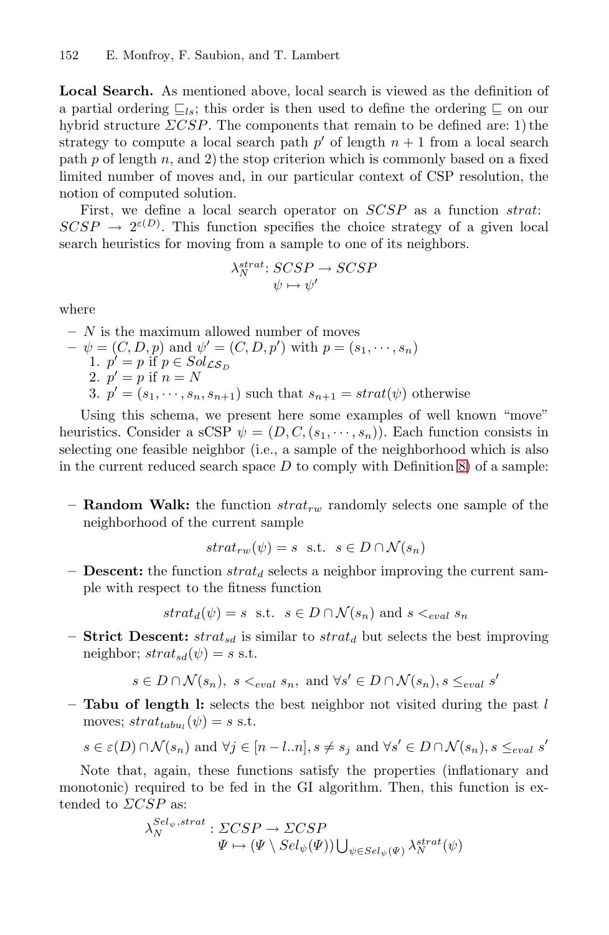**Local Search.** As mentioned above, local search is viewed as the definition of a partial ordering  $\subseteq_{ls}$ ; this order is then used to define the ordering  $\subseteq$  on our hybrid structure  $\triangle CSP$ . The components that remain to be defined are: 1) the strategy to compute a local search path  $p'$  of length  $n + 1$  from a local search path  $p$  of length  $n$ , and  $2$ ) the stop criterion which is commonly based on a fixed limited number of moves and, in our particular context of CSP resolution, the notion of computed solution.

First, we define a local search operator on  $SCSP$  as a function strat:  $SCSP \rightarrow 2^{\varepsilon(D)}$ . This function specifies the choice strategy of a given local search heuristics for moving from a sample to one of its neighbors.

$$
\lambda_N^{strat.} \; SCSP \to SCSP
$$
  

$$
\psi \mapsto \psi'
$$

where

- **–** N is the maximum allowed number of moves
- $-\psi = (C, D, p)$  $-\psi = (C, D, p)$  $-\psi = (C, D, p)$  and  $\psi' = (C, D, p')$  with  $p = (s_1, \dots, s_n)$ 1.  $p' = p$  if  $p \in Sol_{\mathcal{LS}_D}$ 2.  $p' = p$  if  $n = N$ 3.  $p' = (s_1, \dots, s_n, s_{n+1})$  such that  $s_{n+1} = strat(\psi)$  otherwise

Using this schema, we present here some examples of well known "move" heuristics. Consider a sCSP  $\psi = (D, C, (s_1, \dots, s_n))$ . Each function consists in selecting one feasible neighbor (i.e., a sample of the neighborhood which is also in the current reduced search space  $D$  to comply with Definition 8) of a sample:

 $-$  **Random Walk:** the function  $strat_{rw}$  randomly selects one sample of the neighborhood of the current sample

$$
strat_{rw}(\psi) = s \text{ s.t. } s \in D \cap \mathcal{N}(s_n)
$$

 $\blacksquare$  **Descent:** the function strat<sub>d</sub> selects a neighbor improving the current sample with respect to the fitness function

 $strat_d(\psi) = s$  s.t.  $s \in D \cap \mathcal{N}(s_n)$  and  $s \leq_{eval} s_n$ 

**– Strict Descent:**  $strat_{sd}$  is similar to  $strat_d$  but selects the best improving neighbor;  $strat_{sd}(\psi) = s$  s.t.

$$
s \in D \cap \mathcal{N}(s_n)
$$
,  $s \leq_{eval} s_n$ , and  $\forall s' \in D \cap \mathcal{N}(s_n)$ ,  $s \leq_{eval} s'$ 

**– Tabu of length l:** selects the best neighbor not visited during the past l moves;  $strat_{tabu_l}(\psi) = s$  s.t.

$$
s \in \varepsilon(D) \cap \mathcal{N}(s_n)
$$
 and  $\forall j \in [n-l..n], s \neq s_j$  and  $\forall s' \in D \cap \mathcal{N}(s_n), s \leq_{eval} s'$ 

Note that, again, these functions satisfy the properties (inflationary and monotonic) required to be fed in the GI algorithm. Then, this function is extended to  $\triangle CSP$  as:

$$
\lambda_N^{Sel_{\psi},strat}: \Sigma CSP \to \Sigma CSP
$$
  

$$
\Psi \mapsto (\Psi \setminus Sel_{\psi}(\Psi)) \bigcup_{\psi \in Sel_{\psi}(\Psi)} \lambda_N^{strat}(\psi)
$$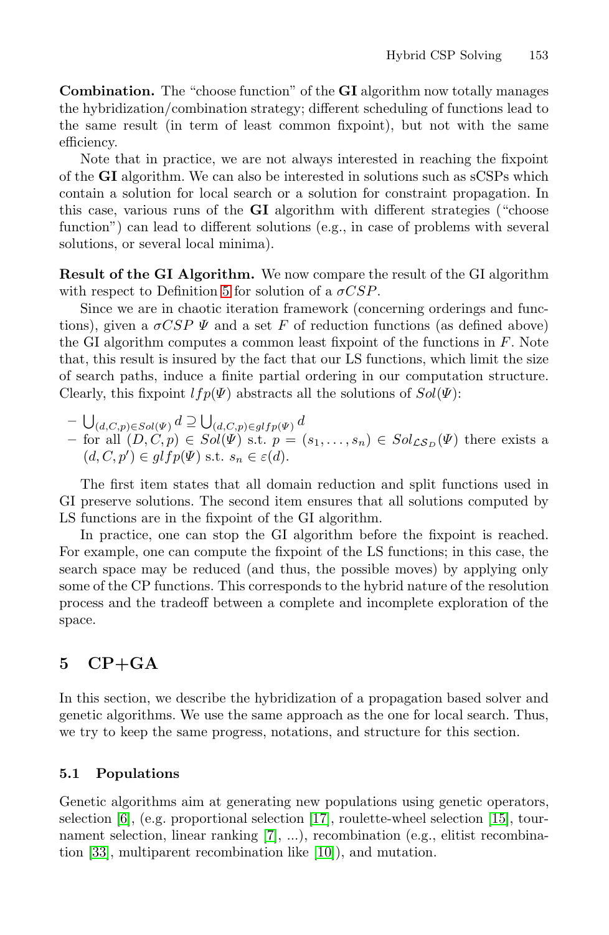**Combination.** The "choose function" of the **GI** algorithm now totally manages the hybridization/combination strategy; different scheduling of functions lead to the same result (in term of least common fixpoint), but not with the same efficiency.

Note that in practice, we are not always interested in reaching the fixpoint of the **[GI](#page-9-1)** algorithm. We can also be interested in solutions such as sCSPs which contain a solution for local search or a solution for constraint propagation. In this case, various runs of the **GI** algorithm with different strategies ("choose function") can lead to different solutions (e.g., in case of problems with several solutions, or several local minima).

**Result of the GI Algorithm.** We now compare the result of the GI algorithm with respect to Definition 5 for solution of a  $\sigma CSP$ .

Since we are in chaotic iteration framework (concerning orderings and functions), given a  $\sigma CSP \Psi$  and a set F of reduction functions (as defined above) the GI algorithm computes a common least fixpoint of the functions in  $F$ . Note that, this result is insured by the fact that our LS functions, which limit the size of search paths, induce a finite partial ordering in our computation structure. Clearly, this fixpoint  $lfp(\Psi)$  abstracts all the solutions of  $Sol(\Psi)$ :

 $- \bigcup_{(d,C,p)\in Sol(\Psi)}d \supseteq \bigcup_{(d,C,p)\in glfp(\Psi)}d$ *–* for all  $(D, C, p)$  ∈  $Sol(\Psi)$  s.t.  $p = (s_1, \ldots, s_n)$  ∈  $Sol_{\mathcal{LS}_D}(\Psi)$  there exists a  $(d, C, p') \in glfp(\Psi) \text{ s.t. } s_n \in \varepsilon(d).$ 

The first item states that all domain reduction and split functions used in GI preserve solutions. The second item ensures that all solutions computed by LS functions are in the fixpoint of the GI algorithm.

<span id="page-15-0"></span>In practice, one can stop the GI algorithm before the fixpoint is reached. For example, one can compute the fixpoint of the LS functions; in this case, the search space may be reduced (and thus, the possible moves) by applying only some of the CP functions. This corresponds to the hybrid nature of the resolution process and the tradeoff between a complete and incomplete exploration of the space.

# **5 CP+GA**

In this section, we de[scrib](#page-28-12)e the hybridization of a [prop](#page-28-11)agation based solver and genetic algorit[hm](#page-28-15)s. We use the same approach as the one for local search. Thus, we try to keep the sa[me p](#page-28-16)rogress, notations, and structure for this section.

#### **5.1 Populations**

Genetic algorithms aim at generating new populations using genetic operators, selection [6], (e.g. proportional selection [17], roulette-wheel selection [15], tournament selection, linear ranking [7], ...), recombination (e.g., elitist recombination [33], multiparent recombination like [10]), and mutation.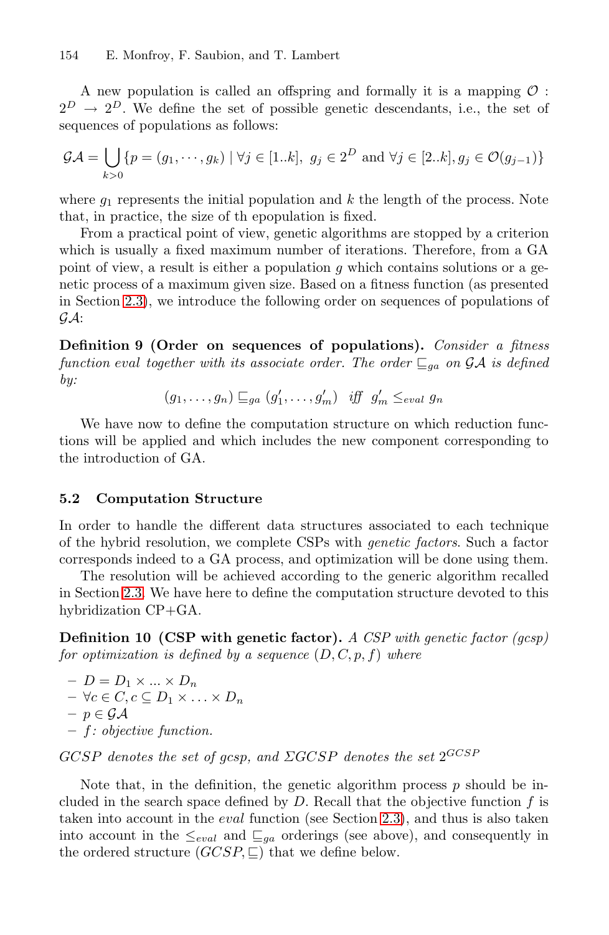A new population is called an offspring and formally it is a mapping  $\mathcal O$ :  $2^D \rightarrow 2^D$ . We define the set of possible genetic descendants, i.e., the set of sequences of populations as follows:

$$
\mathcal{GA} = \bigcup_{k>0} \{ p = (g_1, \dots, g_k) \mid \forall j \in [1..k], \ g_j \in 2^D \text{ and } \forall j \in [2..k], g_j \in \mathcal{O}(g_{j-1}) \}
$$

where  $q_1$  represents the initial population and k the length of the process. Note that, in practice, the size of th epopulation is fixed.

From a practical point of view, genetic algorithms are stopped by a criterion which is usually a fixed maximum number of iterations. Therefore, from a GA point of view, a result is either a population  $q$  which contains solutions or a genetic process of a maximum given size. Based on a fitness function (as presented in Section 2.3), we introduce the following order on sequences of populations of  $G.A$ :

**Definition 9 (Order on sequences of populations).** *Consider a fitness function* eval *together with its* associate order. The order  $\mathcal{Q}_a$  on GA is defined *by:*

 $(g_1, \ldots, g_n) \sqsubseteq_{ga} (g'_1, \ldots, g'_m)$  iff  $g'_m \le_{eval} g_n$ 

We have now to define the computation structure on which reduction functions will be applied and which includes the new component corresponding to the introduction of GA.

#### **5.2 Computation Structure**

In order to handle the different data structures associated to each technique of the hybrid resolution, we complete CSPs with *genetic factors*. Such a factor corresponds indeed to a GA process, and optimization will be done using them.

The resolution will be achieved according to the generic algorithm recalled in Section 2.3. We have here to define the computation structure devoted to this hybridization CP+GA.

**Definition 10 (CSP with genetic factor).** *A CSP with genetic factor (gcsp) for optimization is defined by a sequence*  $(D, C, p, f)$  *where* 

 $-D = D_1 \times ... \times D_n$  $- \forall c \in C, c \subseteq D_1 \times \ldots \times D_n$ **–** p ∈ GA **–** f*: objective function.*

GCSP *denotes the set of* gcsp*, and* ΣGCSP *denotes the set* 2GCSP

Note that, in the definition, the genetic algorithm process  $p$  should be included in the search space defined by  $D$ . Recall that the objective function  $f$  is taken into account in the eval function (see Section 2.3), and thus is also taken into account in the  $\leq_{eval}$  and  $\sqsubseteq_{qa}$  orderings (see above), and consequently in the ordered structure  $(GCSP, \sqsubseteq)$  that we define below.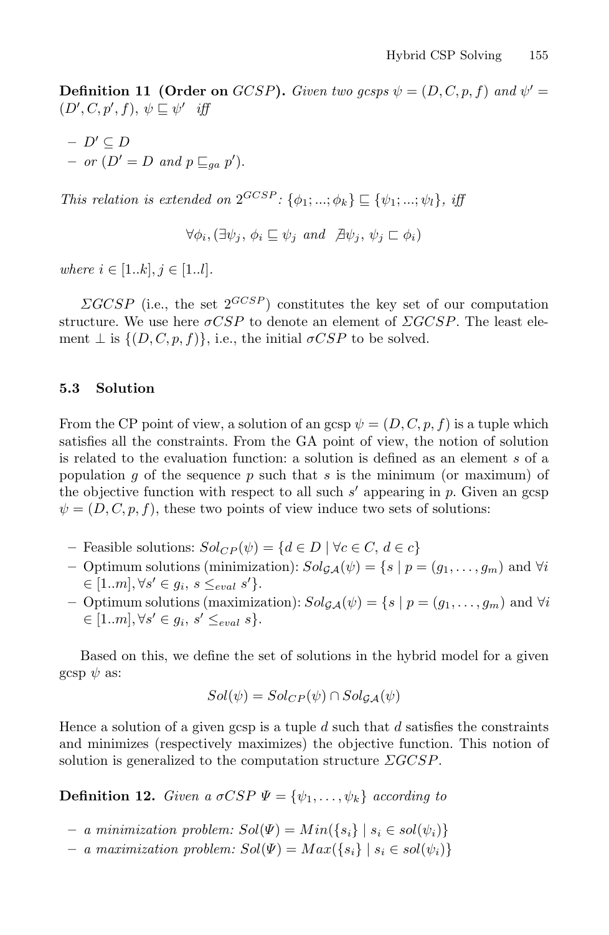**Definition 11 (Order on** GCSP). Given two gcsps  $\psi = (D, C, p, f)$  and  $\psi' =$  $(D', C, p', f), \psi \sqsubseteq \psi'$  *iff* 

 $D' \subseteq D$  $-$  *or*  $(D' = D$  *and*  $p \sqsubseteq_{ga} p'$ .

*This relation is extended on*  $2^{GCSP}$ *:*  $\{\phi_1; \ldots; \phi_k\} \subseteq \{\psi_1; \ldots; \psi_l\}$ *, iff* 

 $\forall \phi_i, (\exists \psi_i, \phi_i \sqsubseteq \psi_i \text{ and } \nexists \psi_i, \psi_j \sqsubset \phi_i)$ 

*where*  $i \in [1..k], j \in [1..l].$ 

 $\Sigma GCSP$  (i.e., the set  $2^{GCSP}$ ) constitutes the key set of our computation structure. We use here  $\sigma CSP$  to denote an element of  $\Sigma GCSP$ . The least element  $\perp$  is  $\{(D, C, p, f)\}\)$ , i.e., the initial  $\sigma CSP$  to be solved.

### **5.3 Solution**

From the CP point of view, a solution of an gcsp  $\psi = (D, C, p, f)$  is a tuple which satisfies all the constraints. From the GA point of view, the notion of solution is related to the evaluation function: a solution is defined as an element s of a population g of the sequence p such that s is the minimum (or maximum) of the objective function with respect to all such  $s'$  appearing in  $p$ . Given an gcsp  $\psi = (D, C, p, f)$ , these two points of view induce two sets of solutions:

- **−** Feasible solutions:  $Sol_{CP}(\psi) = \{d \in D \mid \forall c \in C, d \in c\}$
- **−** Optimum solutions (minimization):  $Sol_{\mathcal{GA}}(\psi) = \{s \mid p = (g_1, \ldots, g_m) \text{ and } \forall i$  $\in [1..m], \forall s' \in g_i, s \leq_{eval} s' \}.$
- **–** Optimum solutions (maximization):  $Sol_{\mathcal{GA}}(\psi) = \{ s \mid p = (g_1, \ldots, g_m) \text{ and } \forall i$  $\in [1..m], \forall s' \in g_i, s' \leq_{eval} s$ .

Based on this, we define the set of solutions in the hybrid model for a given gcsp  $\psi$  as:

$$
Sol(\psi) = Sol_{CP}(\psi) \cap Sol_{\mathcal{GA}}(\psi)
$$

Hence a solution of a given gcsp is a tuple  $d$  such that  $d$  satisfies the constraints and minimizes (respectively maximizes) the objective function. This notion of solution is generalized to the computation structure  $\triangle CCSP$ .

**Definition 12.** *Given a*  $\sigma CSP \Psi = {\psi_1, \ldots, \psi_k}$  *according to* 

- $− a minimization problem: Sol(Ψ) = Min({s_i} | s_i ∈ sol(ψ_i)$
- $− a maximization problem: Sol(Ψ) = Max({s_i} \mid s_i ∈ sol(ψ_i)$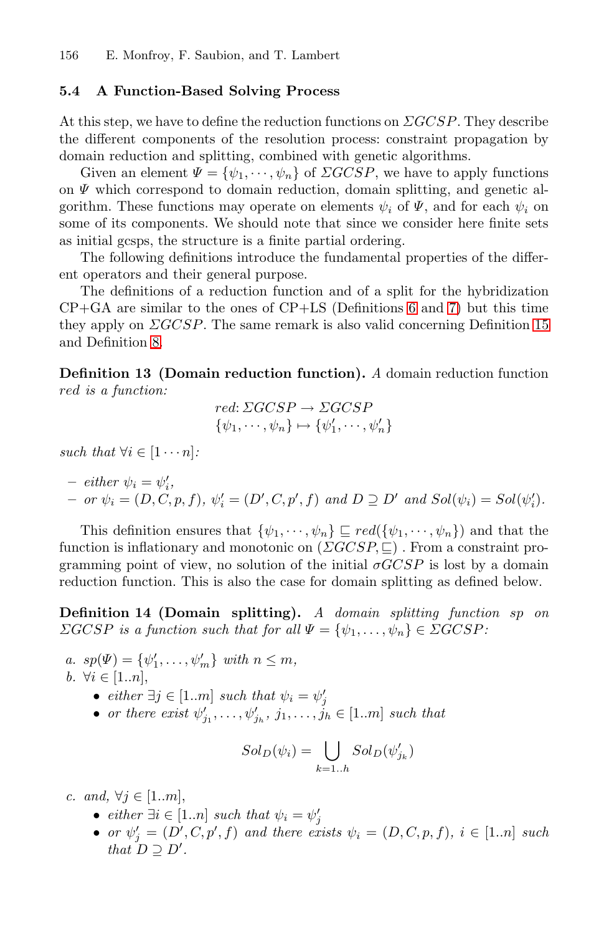### **5.4 A Function-Based Solving Process**

At this step, we have to define the reduction functions on  $\Sigma GCSP$ . They describe the different components of the resolution process: constraint propagation by domain reduction and splitting, combined with genetic algorithms.

Given an element  $\Psi = {\psi_1, \cdots, \psi_n}$  of  $\Sigma GCSP$ , we have to apply functions on  $\Psi$  which correspond to domain re[du](#page-10-0)ctio[n,](#page-10-1) domain splitting, and genetic algorithm. These functions may operate on elements  $\psi_i$  of  $\Psi$ [, a](#page-19-0)nd for each  $\psi_i$  on some of its components. We should note that since we consider here finite sets as initial gcsps, the structure is a finite partial ordering.

The following definitions introduce the fundamental properties of the different operators and their general purpose.

The definitions of a reduction function and of a split for the hybridization  $CP+GA$  are similar to the ones of  $CP+LS$  (Definitions 6 and 7) but this time they apply on  $\Sigma GCSP$ . The same remark is also valid concerning Definition 15 and Definition 8.

**Definition 13 (Domain reduction function).** *A* domain reduction function red *is a function:*

$$
red: \Sigma GCSP \rightarrow \Sigma GCSP\{\psi_1, \cdots, \psi_n\} \mapsto \{\psi'_1, \cdots, \psi'_n\}
$$

*such that*  $\forall i \in [1 \cdots n]$ *:* 

 $-$  *either*  $\psi_i = \psi'_i$ ,  $-$  *or*  $\psi_i = (D, C, p, f), \ \psi'_i = (D', C, p', f) \ and \ D \supseteq D' \ and \ Sol(\psi_i) = Sol(\psi'_i).$ 

This definition ensures that  $\{\psi_1, \dots, \psi_n\} \sqsubseteq red(\{\psi_1, \dots, \psi_n\})$  and that the function is inflationary and monotonic on  $(\Sigma GCSP, \square)$ . From a constraint programming point of view, no solution of the initial  $\sigma GCSP$  is lost by a domain reduction function. This is also the case for domain splitting as defined below.

**Definition 14 (Domain splitting).** *A domain splitting function* sp *on*  $\sum GCSP$  *is a function such that for all*  $\Psi = {\psi_1, \ldots, \psi_n} \in \sum GCSP$ :

- *a.*  $sp(\Psi) = {\psi'_1, \ldots, \psi'_m} \text{ with } n \leq m,$ *b.*  $\forall i \in [1..n]$ ,
	-
	- *either* ∃*j* ∈ [1..*m*] *such that*  $\psi_i = \psi'_j$ <br>• *or there exist*  $\psi'_{j_1}, \ldots, \psi'_{j_h}, j_1, \ldots, j_h$  ∈ [1.*m*] *such that*

$$
Sol_D(\psi_i) = \bigcup_{k=1..h} Sol_D(\psi'_{j_k})
$$

*c.* and,  $\forall j \in [1..m],$ 

- 
- $\bullet$  *either* ∃*i* ∈ [1..*n*] *such that*  $ψ<sub>i</sub> = ψ'<sub>j</sub>$ <br>  $\bullet$  *or*  $ψ'<sub>j</sub> = (D', C, p', f)$  *and there exists*  $ψ<sub>i</sub> = (D, C, p, f)$ ,  $i ∈ [1..n]$  *such that*  $D \supseteq D'$ .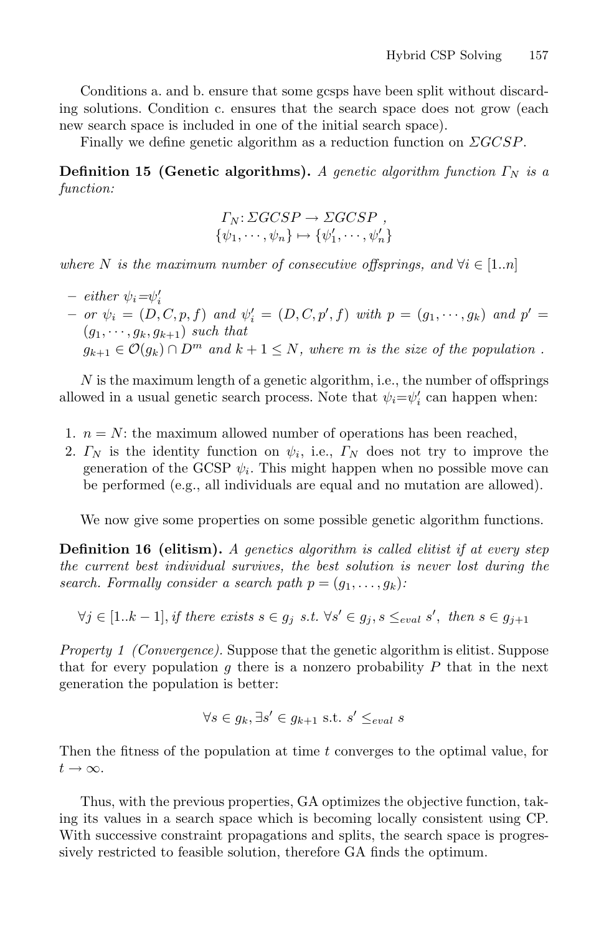Conditions a. and b. ensure that some gcsps have been split without discarding solutions. Condition c. ensures that the search space does not grow (each new search space is included in one of the initial search space).

Finally we define genetic algorithm as a reduction function on  $\triangle GCSP$ .

**Definition 15 (Genetic algorithms).** *A genetic algorithm function*  $\Gamma_N$  *is a function:*

<span id="page-19-0"></span>
$$
\Gamma_N: \Sigma GCSP \to \Sigma GCSP ,\{\psi_1, \cdots, \psi_n\} \mapsto {\psi'_1, \cdots, \psi'_n}
$$

*where* N *is the maximum number of consecutive offsprings, and*  $\forall i \in [1..n]$ 

 $-$  *either*  $\psi_i = \psi'_i$  $-$  *or*  $\psi_i = (D, C, p, f)$  *and*  $\psi'_i = (D, C, p', f)$  *with*  $p = (g_1, \dots, g_k)$  *and*  $p' = (g_1, \dots, g_k)$  $(g_1, \dots, g_k, g_{k+1})$  *such that*  $g_{k+1} \in \mathcal{O}(g_k) \cap D^m$  and  $k+1 \leq N$ , where m is the size of the population.

 $N$  is the maximum length of a genetic algorithm, i.e., the number of offsprings allowed in a usual genetic search process. Note that  $\psi_i = \psi'_i$  can happen when:

- 1.  $n = N$ : the maximum allowed number of operations has been reached,
- 2.  $\Gamma_N$  is the identity function on  $\psi_i$ , i.e.,  $\Gamma_N$  does not try to improve the generation of the GCSP  $\psi_i$ . This might happen when no possible move can be performed (e.g., all individuals are equal and no mutation are allowed).

We now give some properties on some possible genetic algorithm functions.

**Definition 16 (elitism).** *A genetics algorithm is called elitist if at every step the current best individual survives, the best solution is never lost during the search. Formally consider a search path*  $p = (g_1, \ldots, g_k)$ :

$$
\forall j \in [1..k-1], \text{if there exists } s \in g_j \text{ s.t. } \forall s' \in g_j, s \leq_{eval} s', \text{ then } s \in g_{j+1}
$$

*Property 1 (Convergence)*. Suppose that the genetic algorithm is elitist. Suppose that for every population g there is a nonzero probability  $P$  that in the next generation the population is better:

$$
\forall s \in g_k, \exists s' \in g_{k+1} \text{ s.t. } s' \leq_{eval} s
$$

Then the fitness of the population at time t converges to the optimal value, for  $t\rightarrow\infty$ .

Thus, with the previous properties, GA optimizes the objective function, taking its values in a search space which is becoming locally consistent using CP. With successive constraint propagations and splits, the search space is progressively restricted to feasible solution, therefore GA finds the optimum.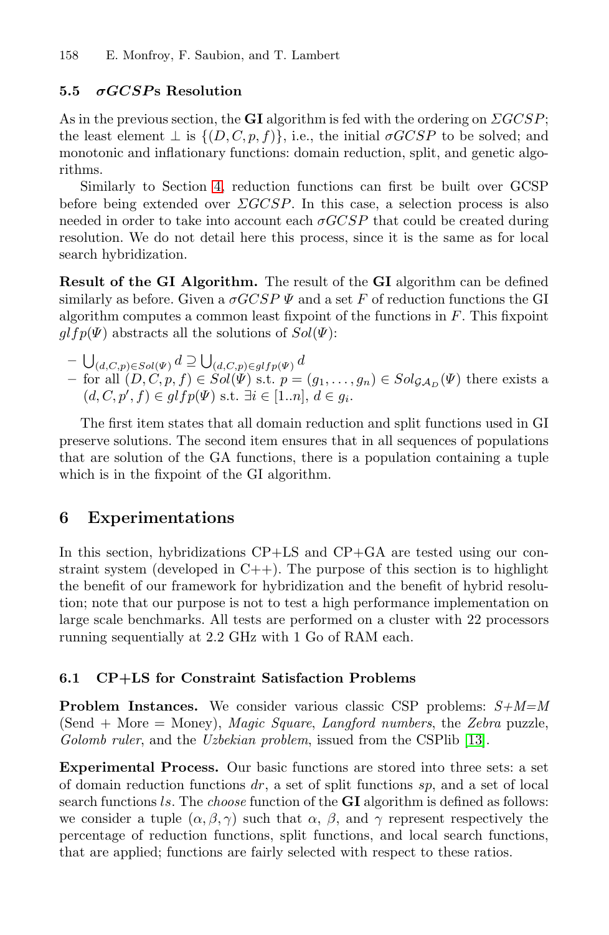#### **5.5** *σGCSP* **s Resolution**

As in the previous section, the **GI** algorithm is fed with the ordering on  $\Sigma GCSP$ ; the least element  $\perp$  is  $\{(D, C, p, f)\}\)$ , i.e., the initial  $\sigma GCSP$  to be solved; and monotonic and inflationary functions: domain reduction, split, and genetic algorithms.

Similarly to Section 4, reduction functions can first be built over GCSP before being extended over  $\triangle GCSP$ . In this case, a selection process is also needed in order to take into account each  $\sigma GCSP$  that could be created during resolution. We do not detail here this process, since it is the same as for local search hybridization.

**Result of the GI Algorithm.** The result of the **GI** algorithm can be defined similarly as before. Given a  $\sigma GCSP \Psi$  and a set F of reduction functions the GI algorithm computes a common least fixpoint of the functions in F. This fixpoint  $glfp(\Psi)$  abstracts all the solutions of  $Sol(\Psi)$ :

 $- \bigcup_{(d,C,p)\in Sol(\Psi)} d \supseteq \bigcup_{(d,C,p)\in glfp(\Psi)} d$ *–* for all  $(D, C, p, f)$  ∈  $Sol(\Psi)$  s.t.  $p = (g_1, \ldots, g_n)$  ∈  $Sol_{\mathcal{GA}_D}(\Psi)$  there exists a  $(d, C, p', f) \in glfp(\Psi) \text{ s.t. } \exists i \in [1..n], d \in g_i.$ 

<span id="page-20-0"></span>The first item states that all domain reduction and split functions used in GI preserve solutions. The second item ensures that in all sequences of populations that are solution of the GA functions, there is a population containing a tuple which is in the fixpoint of the GI algorithm.

### **6 Experimentations**

In this section, hybridizations CP+LS and CP+GA are tested using our constraint system (developed in  $C_{++}$ ). The purpose of this section is to highlight the benefit of our framework for hybridization and the benefit of hybrid resolution; note that our purpose is not to test a high performance implementation on large scale benchmarks. All tests are performe[d on](#page-28-17) a cluster with 22 processors running sequentially at 2.2 GHz with 1 Go of RAM each.

### **6.1 CP+LS for Constraint Satisfaction Problems**

**Problem Instances.** We consider various classic CSP problems: *S+M=M* (Send + More = Money), *Magic Square*, *Langford numbers*, the *Zebra* puzzle, *Golomb ruler*, and the *Uzbekian problem*, issued from the CSPlib [13].

**Experimental Process.** Our basic functions are stored into three sets: a set of domain reduction functions  $dr$ , a set of split functions  $sp$ , and a set of local search functions ls. The *choose* function of the **GI** algorithm is defined as follows: we consider a tuple  $(\alpha, \beta, \gamma)$  such that  $\alpha$ ,  $\beta$ , and  $\gamma$  represent respectively the percentage of reduction functions, split functions, and local search functions, that are applied; functions are fairly selected with respect to these ratios.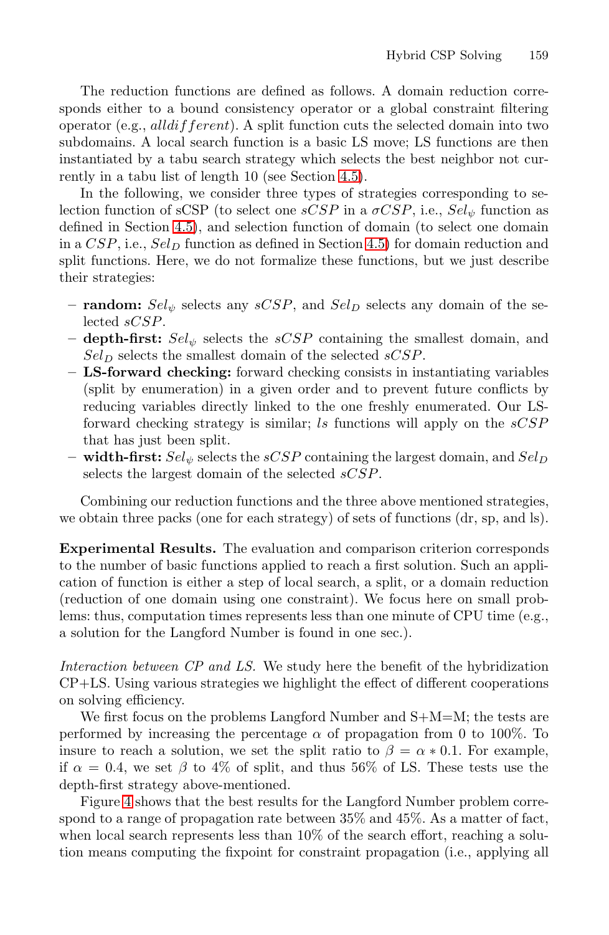The reduction functions are defined as follows. A domain reduction corre[spo](#page-11-1)nds either to a bound consistency operator or a global constraint filtering operator (e.g., all different). [A sp](#page-11-1)lit function cuts the selected domain into two subdomains. A local search function is a basic LS move; LS functions are then instantiated by a tabu search strategy which selects the best neighbor not currently in a tabu list of length 10 (see Section 4.5).

In the following, we consider three types of strategies corresponding to selection function of sCSP (to select one  $sCSP$  in a  $\sigma CSP$ , i.e.,  $Sel_{\psi}$  function as defined in Section 4.5), and selection function of domain (to select one domain in a  $CSP$ , i.e.,  $Sel<sub>D</sub>$  function as defined in Section 4.5) for domain reduction and split functions. Here, we do not formalize these functions, but we just describe their strategies:

- **random:**  $Sel_{\psi}$  selects any  $sCSP$ , and  $Sel_{D}$  selects any domain of the selected sCSP.
- **depth-first:**  $Sel_{\psi}$  selects the  $sCSP$  containing the smallest domain, and  $Sel<sub>D</sub>$  selects the smallest domain of the selected sCSP.
- **LS-forward checking:** forward checking consists in instantiating variables (split by enumeration) in a given order and to prevent future conflicts by reducing variables directly linked to the one freshly enumerated. Our LSforward checking strategy is similar; ls functions will apply on the  $sCSP$ that has just been split.
- **width-first:**  $Sel_{\psi}$  selects the  $sCSP$  containing the largest domain, and  $Sel_D$ selects the largest domain of the selected sCSP.

Combining our reduction functions and the three above mentioned strategies, we obtain three packs (one for each strategy) of sets of functions (dr, sp, and ls).

**Experimental Results.** The evaluation and comparison criterion corresponds to the number of basic functions applied to reach a first solution. Such an application of function is either a step of local search, a split, or a domain reduction (reduction of one domain using one constraint). We focus here on small problems: thus, computation times represents less than one minute of CPU time (e.g., a solution for the Langford Number is found in one sec.).

*Interaction between CP and LS.* We study here the benefit of the hybridization CP+LS. Using various strategies we highlight the effect of different cooperations on solving efficiency.

We first focus on the problems Langford Number and  $S+M=M$ ; the tests are performed by increasing the percentage  $\alpha$  of propagation from 0 to 100%. To insure to reach a solution, we set the split ratio to  $\beta = \alpha * 0.1$ . For example, if  $\alpha = 0.4$ , we set  $\beta$  to 4% of split, and thus 56% of LS. These tests use the depth-first strategy above-mentioned.

Figure 4 shows that the best results for the Langford Number problem correspond to a range of propagation rate between 35% and 45%. As a matter of fact, when local search represents less than  $10\%$  of the search effort, reaching a solution means computing the fixpoint for constraint propagation (i.e., applying all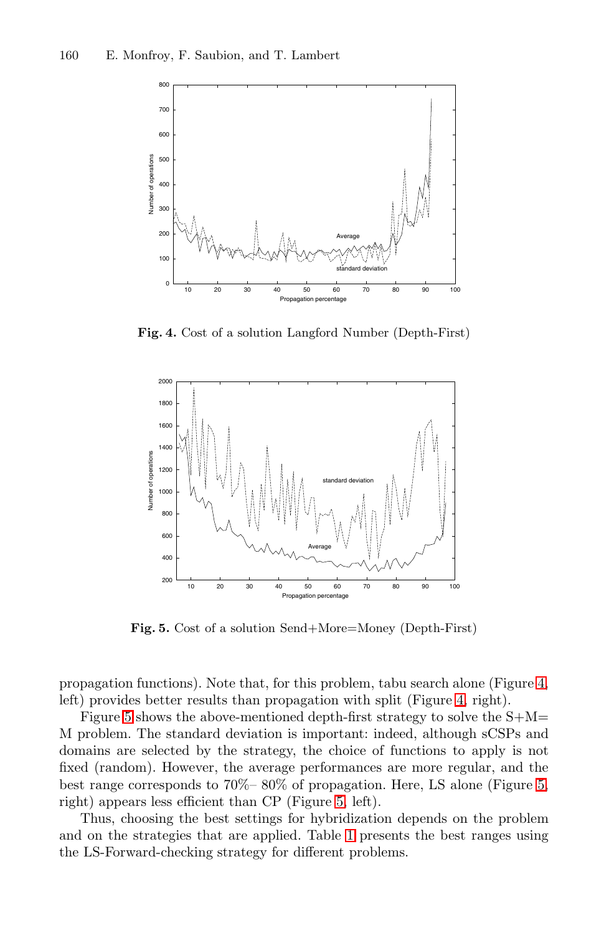<span id="page-22-0"></span>160 E. Monfroy, F. Saubion, and T. Lambert



**Fig. 4.** Cost of a solution Langford Number (Depth-First)



**Fig. 5.** Cost of a solution Send+More=Money (Depth-First)

<span id="page-22-1"></span>propagation functions). N[ot](#page-22-1)e that, for this problem, tabu search alone (Figure 4, left) provides better results than propagation with split (Figure 4, right).

Figure 5 shows the abo[ve-](#page-23-0)mentioned depth-first strategy to solve the  $S+M=$ M problem. The standard deviation is important: indeed, although sCSPs and domains are selected by the strategy, the choice of functions to apply is not fixed (random). However, the average performances are more regular, and the best range corresponds to 70%– 80% of propagation. Here, LS alone (Figure 5, right) appears less efficient than CP (Figure 5, left).

Thus, choosing the best settings for hybridization depends on the problem and on the strategies that are applied. Table 1 presents the best ranges using the LS-Forward-checking strategy for different problems.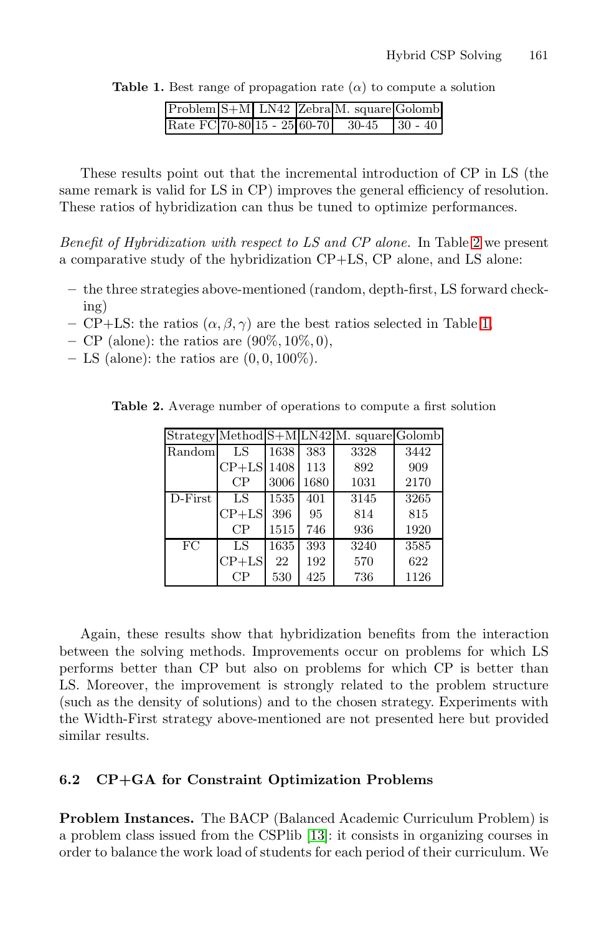<span id="page-23-0"></span>**Table 1.** Best range of propagation rate  $(\alpha)$  to compute a solution

|  |  | Problem S+M LN42 Zebra M. square Golomb   |  |
|--|--|-------------------------------------------|--|
|  |  | Rate FC 70-80 15 - 25 60-70 30-45 30 - 40 |  |

These results point out that the incremental introduction of CP in LS (the same remark is valid for LS in CP) improves the general efficiency of resolution. These ratios of hybridization can thus be tuned t[o](#page-23-0) optimize performances.

*Benefit of Hybridization with respect to LS and CP alone.* In Table 2 we present a comparative study of the hybridization CP+LS, CP alone, and LS alone:

- <span id="page-23-1"></span>**–** the three strategies above-mentioned (random, depth-first, LS forward checking)
- **–** CP+LS: the ratios (α, β, γ) are the best ratios selected in Table 1,
- **–** CP (alone): the ratios are (90%, 10%, 0),
- **–** LS (alone): the ratios are (0, 0, 100%).

|  |  | <b>Table 2.</b> Average number of operations to compute a first solution |  |  |  |
|--|--|--------------------------------------------------------------------------|--|--|--|
|  |  |                                                                          |  |  |  |

|            |          |      |      | Strategy Method S+M LN42 M. square Golomb |      |
|------------|----------|------|------|-------------------------------------------|------|
| Random     | LS       | 1638 | 383  | 3328                                      | 3442 |
|            | $CP+LS$  | 1408 | 113  | 892                                       | 909  |
|            | $\rm CP$ | 3006 | 1680 | 1031                                      | 2170 |
| $D$ -First | LS       | 1535 | 401  | 3145                                      | 3265 |
|            | $CP+LS$  | 396  | 95   | 814                                       | 815  |
|            | CР       | 1515 | 746  | 936                                       | 1920 |
| FC         | LS       | 1635 | 393  | 3240                                      | 3585 |
|            | $CP+LS$  | 22   | 192  | 570                                       | 622  |
|            | $\rm CP$ | 530  | 425  | 736                                       | 1126 |

Again, these results show that hybridization benefits from the interaction between the solving methods. Improvements occur on problems for which LS performs better than CP but also on problems for which CP is better than LS. Moreover, the improvement is strongly related to the problem structure (such as the density of solutions) and to the chosen strategy. Experiments with the Width-First stra[tegy](#page-28-17) above-mentioned are not presented here but provided similar results.

### **6.2 CP+GA for Constraint Optimization Problems**

**Problem Instances.** The BACP (Balanced Academic Curriculum Problem) is a problem class issued from the CSPlib [13]: it consists in organizing courses in order to balance the work load of students for each period of their curriculum. We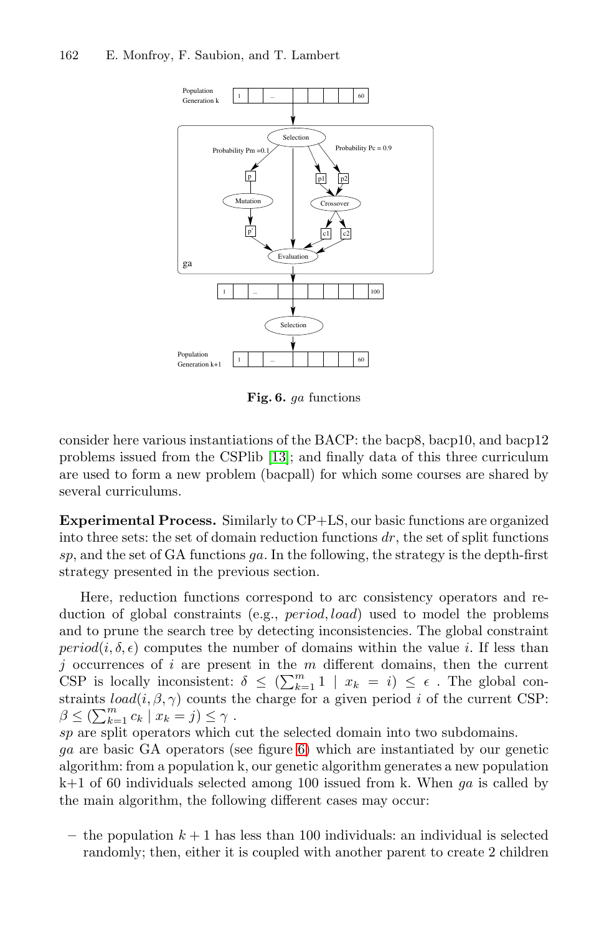

**Fig. 6.** ga functions

<span id="page-24-0"></span>consider here various instantiations of the BACP: the bacp8, bacp10, and bacp12 problems issued from the CSPlib [13]; and finally data of this three curriculum are used to form a new problem (bacpall) for which some courses are shared by several curriculums.

**Experimental Process.** Similarly to CP+LS, our basic functions are organized into three sets: the set of domain reduction functions  $dr$ , the set of split functions sp, and the set of GA functions  $qa$ . In the following, the strategy is the depth-first strategy presented in the previous section.

Here, reduction functions correspond to arc consistency operators and reduction of global constraints (e.g., period, load) used to model the problems and to prune the se[ar](#page-24-0)ch tree by detecting inconsistencies. The global constraint  $period(i, \delta, \epsilon)$  computes the number of domains within the value *i*. If less than j occurrences of  $i$  are present in the  $m$  different domains, then the current CSP is locally inconsistent:  $\delta \leq (\sum_{k=1}^m 1 \mid x_k = i) \leq \epsilon$ . The global constraints  $load(i, \beta, \gamma)$  counts the charge for a given period i of the current CSP:  $\beta \leq (\sum_{k=1}^m c_k \mid x_k = j) \leq \gamma$ .

sp are split operators which cut the selected domain into two subdomains.

ga are basic GA operators (see figure 6) which are instantiated by our genetic algorithm: from a population k, our genetic algorithm generates a new population  $k+1$  of 60 individuals selected among 100 issued from k. When ga is called by the main algorithm, the following different cases may occur:

 $-$  the population  $k + 1$  has less than 100 individuals: an individual is selected randomly; then, either it is coupled with another parent to create 2 children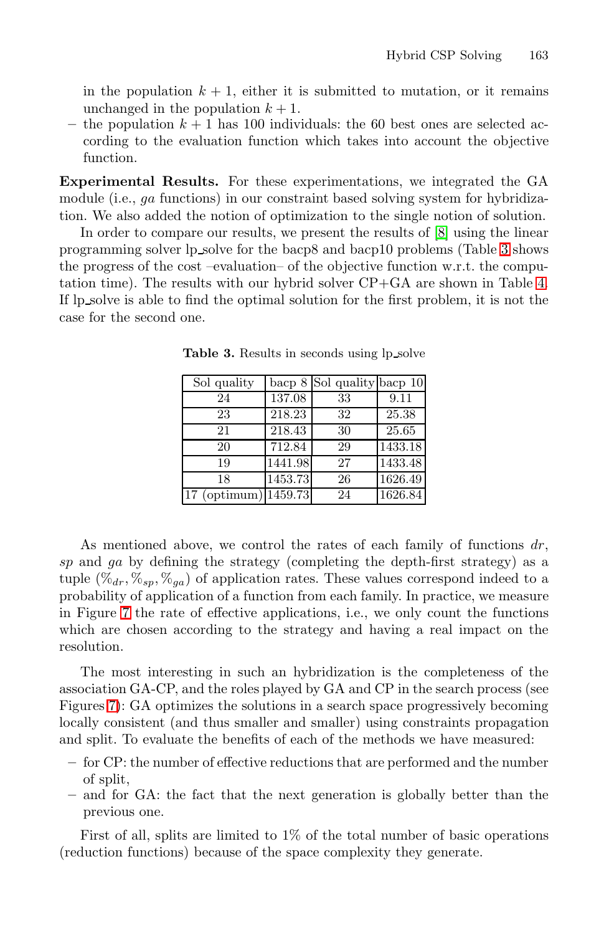in the population  $k + 1$ , either it is submitted to mutation, or it remains unchanged in the population  $k + 1$ .

– the population  $k + 1$  has 100 individuals: the 6[0 b](#page-25-0)est ones are selected according to the evaluation function which takes into account the objective function.

**Experimental Results.** For these experimentations, we integrated the GA module (i.e., ga functions) in our constraint based solving system for hybridization. We also added the notion of optimization to the single notion of solution.

<span id="page-25-0"></span>In order to compare our results, we present the results of [8] using the linear programming solver lp solve for the bacp8 and bacp10 problems (Table 3 shows the progress of the cost –evaluation– of the objective function w.r.t. the computation time). The results with our hybrid solver CP+GA are shown in Table 4. If lp solve is able to find the optimal solution for the first problem, it is not the case for the second one.

| Sol quality                       |                     | bacp $8$ Sol quality bacp $10$ |         |
|-----------------------------------|---------------------|--------------------------------|---------|
| 24                                | 137.08              | 33                             | 9.11    |
| 23                                | 218.23              | 32                             | 25.38   |
| 21                                | 218.43              | 30                             | 25.65   |
| 20                                | $\overline{712.84}$ | 29                             | 1433.18 |
| 19                                | 1441.98             | 27                             | 1433.48 |
| 18                                | 1453.73             | 26                             | 1626.49 |
| $17 \text{ (optimum)} \, 1459.73$ |                     | 24                             | 1626.84 |

Table 3. Results in seconds using lp\_solve

As mentioned above, we control the rates of each family of functions  $dr$ , sp and ga by defining the strategy (completing the depth-first strategy) as a tuple  $(\mathcal{K}_{dr}, \mathcal{K}_{sp}, \mathcal{K}_{ga})$  of application rates. These values correspond indeed to a probability of application of a function from each family. In practice, we measure in Figure 7 the rate of effective applications, i.e., we only count the functions which are chosen according to the strategy and having a real impact on the resolution.

The most interesting in such an hybridization is the completeness of the association GA-CP, and the roles played by GA and CP in the search process (see Figures 7): GA optimizes the solutions in a search space progressively becoming locally consistent (and thus smaller and smaller) using constraints propagation and split. To evaluate the benefits of each of the methods we have measured:

- **–** for CP: the number of effective reductions that are performed and the number of split,
- **–** and for GA: the fact that the next generation is globally better than the previous one.

First of all, splits are limited to 1% of the total number of basic operations (reduction functions) because of the space complexity they generate.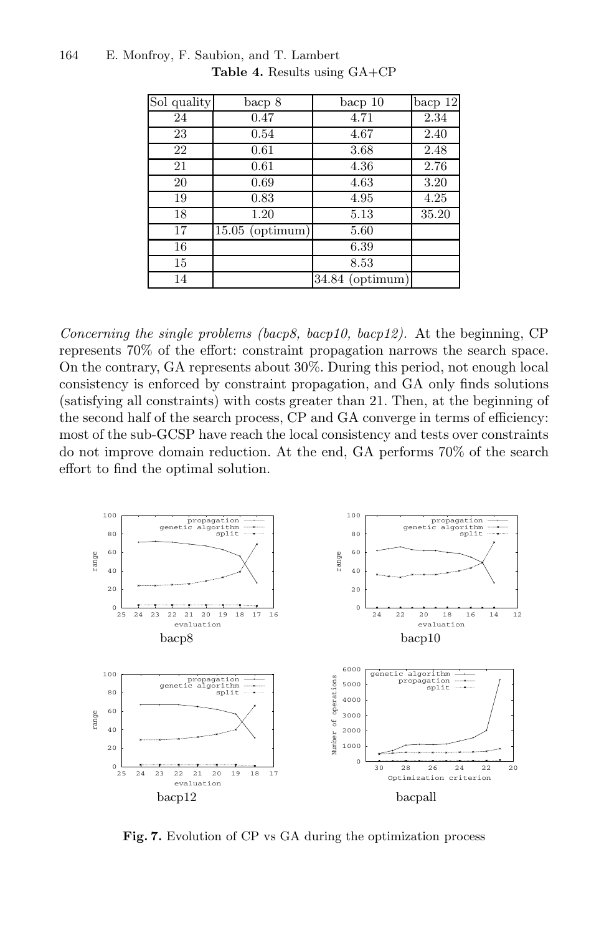| Sol quality | bacp 8            | bacp 10           | bacp12 |
|-------------|-------------------|-------------------|--------|
| 24          | 0.47              | 4.71              | 2.34   |
| 23          | 0.54              | 4.67              | 2.40   |
| 22          | 0.61              | 3.68              | 2.48   |
| 21          | 0.61              | 4.36              | 2.76   |
| 20          | 0.69              | 4.63              | 3.20   |
| 19          | 0.83              | 4.95              | 4.25   |
| 18          | 1.20              | 5.13              | 35.20  |
| 17          | $15.05$ (optimum) | 5.60              |        |
| 16          |                   | 6.39              |        |
| 15          |                   | 8.53              |        |
| 14          |                   | $34.84$ (optimum) |        |

*Concerning the single problems (bacp8, bacp10, bacp12).* At the beginning, CP represents 70% of the effort: constraint propagation narrows the search space. On the contrary, GA represents about 30%. During this period, not enough local consistency is enforced by constraint propagation, and GA only finds solutions (satisfying all constraints) with costs greater than 21. Then, at the beginning of the second half of the search process, CP and GA converge in terms of efficiency: most of the sub-GCSP have reach the local consistency and tests over constraints do not improve domain reduction. At the end, GA performs 70% of the search effort to find the optimal solution.



**Fig. 7.** Evolution of CP vs GA during the optimization process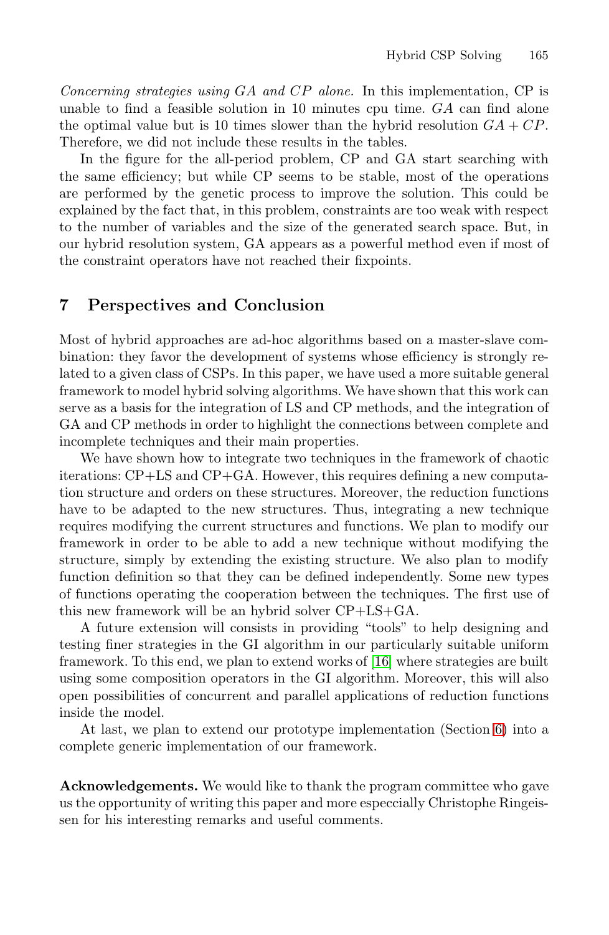*Concerning strategies using* GA *and* CP *alone.* In this implementation, CP is unable to find a feasible solution in 10 minutes cpu time. GA can find alone the optimal value but is 10 times slower than the hybrid resolution  $GA + CP$ . Therefore, we did not include these results in the tables.

<span id="page-27-0"></span>In the figure for the all-period problem, CP and GA start searching with the same efficiency; but while CP seems to be stable, most of the operations are performed by the genetic process to improve the solution. This could be explained by the fact that, in this problem, constraints are too weak with respect to the number of variables and the size of the generated search space. But, in our hybrid resolution system, GA appears as a powerful method even if most of the constraint operators have not reached their fixpoints.

### **7 Perspectives and Conclusion**

Most of hybrid approaches are ad-hoc algorithms based on a master-slave combination: they favor the development of systems whose efficiency is strongly related to a given class of CSPs. In this paper, we have used a more suitable general framework to model hybrid solving algorithms. We have shown that this work can serve as a basis for the integration of LS and CP methods, and the integration of GA and CP methods in order to highlight the connections between complete and incomplete techniques and their main properties.

We have shown how to integrate two techniques in the framework of chaotic iterations: CP+LS and CP+GA. However, this requires defining a new computation structure and orders on these structures. Moreover, the reduction functions have to be adapted to the new structures. Thus, integrating a new technique requires modifying the current structures and functions. We plan to modify our framework in order to be able [to a](#page-28-18)dd a new technique without modifying the structure, simply by extending the existing structure. We also plan to modify function definition so that they can be defined independently. Some new types of functions operating the cooperation between the techniques. The first use of this new framework will be an hybrid solver CP+L[S+](#page-20-0)GA.

A future extension will consists in providing "tools" to help designing and testing finer strategies in the GI algorithm in our particularly suitable uniform framework. To this end, we plan to extend works of [16] where strategies are built using some composition operators in the GI algorithm. Moreover, this will also open possibilities of concurrent and parallel applications of reduction functions inside the model.

At last, we plan to extend our prototype implementation (Section 6) into a complete generic implementation of our framework.

**Acknowledgements.** We would like to thank the program committee who gave us the opportunity of writing this paper and more especcially Christophe Ringeissen for his interesting remarks and useful comments.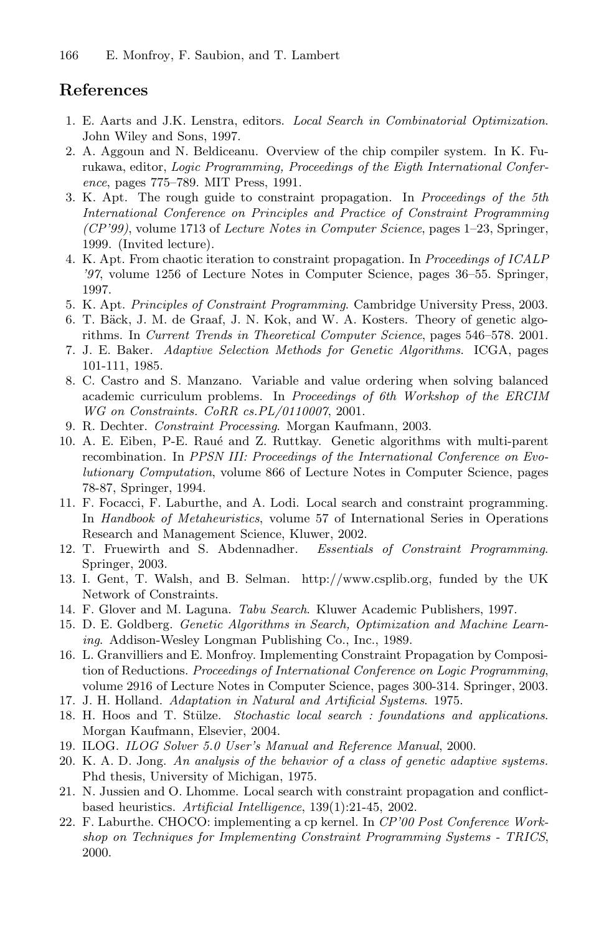# <span id="page-28-7"></span><span id="page-28-0"></span>**References**

- 1. E. Aarts and J.K. Lenstra, editors. *Local Search in Combinatorial Optimization*. John Wiley and Sons, 1997.
- 2. A. Aggoun and N. Beldiceanu. Overview of the chip compiler system. In K. Furukawa, editor, *Logic Programming, Proceedings of the Eigth International Conference*, pages 775–789. MIT Press, 1991.
- <span id="page-28-10"></span>3. K. Apt. The rough guide to constraint propagation. In *Proceedings of the 5th International Conference on Principles and Practice of Constraint Programming (CP'99)*, volume 1713 of *Lecture Notes in Computer Science*, pages 1–23, Springer, 1999. (Invited lecture).
- <span id="page-28-9"></span>4. K. Apt. From chaotic iteration to constraint propagation. In *Proceedings of ICALP '97*, volume 1256 of Lecture Notes in Computer Science, pages 36–55. Springer, 1997.
- <span id="page-28-4"></span>5. K. Apt. *Principles of Constraint Programming*. Cambridge University Press, 2003.
- 6. T. Bäck, J. M. de Graaf, J. N. Kok, and W. A. Kosters. Theory of genetic algorithms. In *Current Trends in Theoretical Computer Science*, pages 546–578. 2001.
- <span id="page-28-15"></span>7. J. E. Baker. *Adaptive Selection Methods for Genetic Algorithms*. ICGA, pages 101-111, 1985.
- 8. C. Castro and S. Manzano. Variable and value ordering when solving balanced academic curriculum problems. In *Proceedings of 6th Workshop of the ERCIM WG on Constraints. CoRR cs.PL/0110007*, 2001.
- <span id="page-28-6"></span>9. R. Dechter. *Constraint Processing*. Morgan Kaufmann, 2003.
- <span id="page-28-16"></span>10. A. E. Eiben, P-E. Rau´e and Z. Ruttkay. Genetic algorithms with multi-parent recombination. In *PPSN III: Proceedings of the International Conference on Evolutionary Computation*, volume 866 of Lecture Notes in Computer Science, pages 78-87, Springer, 1994.
- 11. F. Focacci, F. Laburthe, and A. Lodi. Local search and constraint programming. In *Handbook of Metaheuristics*, volume 57 of International Series in Operations Research and Management Science, Kluwer, 2002.
- <span id="page-28-5"></span>12. T. Fruewirth and S. Abdennadher. *Essentials of Constraint Programming*. Springer, 2003.
- <span id="page-28-17"></span>13. I. Gent, T. Walsh, and B. Selman. http://www.csplib.org, funded by the UK Network of Constraints.
- <span id="page-28-14"></span><span id="page-28-11"></span>14. F. Glover and M. Laguna. *Tabu Search*. Kluwer Academic Publishers, 1997.
- 15. D. E. Goldberg. *Genetic Algorithms in Search, Optimization and Machine Learning*. Addison-Wesley Longman Publishing Co., Inc., 1989.
- <span id="page-28-18"></span>16. L. Granvilliers and E. Monfroy. Implementing Constraint Propagation by Composition of Reductions. *Proceedings of International Conference on Logic Programming*, volume 2916 of Lecture Notes in Computer Science, pages 300-314. Springer, 2003.
- <span id="page-28-12"></span><span id="page-28-8"></span>17. J. H. Holland. *Adaptation in Natural and Artificial Systems*. 1975.
- 18. H. Hoos and T. Stülze. *Stochastic local search : foundations and applications*. Morgan Kaufmann, Elsevier, 2004.
- <span id="page-28-13"></span><span id="page-28-2"></span>19. ILOG. *ILOG Solver 5.0 User's Manual and Reference Manual*, 2000.
- 20. K. A. D. Jong. *An analysis of the behavior of a class of genetic adaptive systems.* Phd thesis, University of Michigan, 1975.
- <span id="page-28-1"></span>21. N. Jussien and O. Lhomme. Local search with constraint propagation and conflictbased heuristics. *Artificial Intelligence*, 139(1):21-45, 2002.
- <span id="page-28-3"></span>22. F. Laburthe. CHOCO: implementing a cp kernel. In *CP'00 Post Conference Workshop on Techniques for Implementing Constraint Programming Systems - TRICS*, 2000.